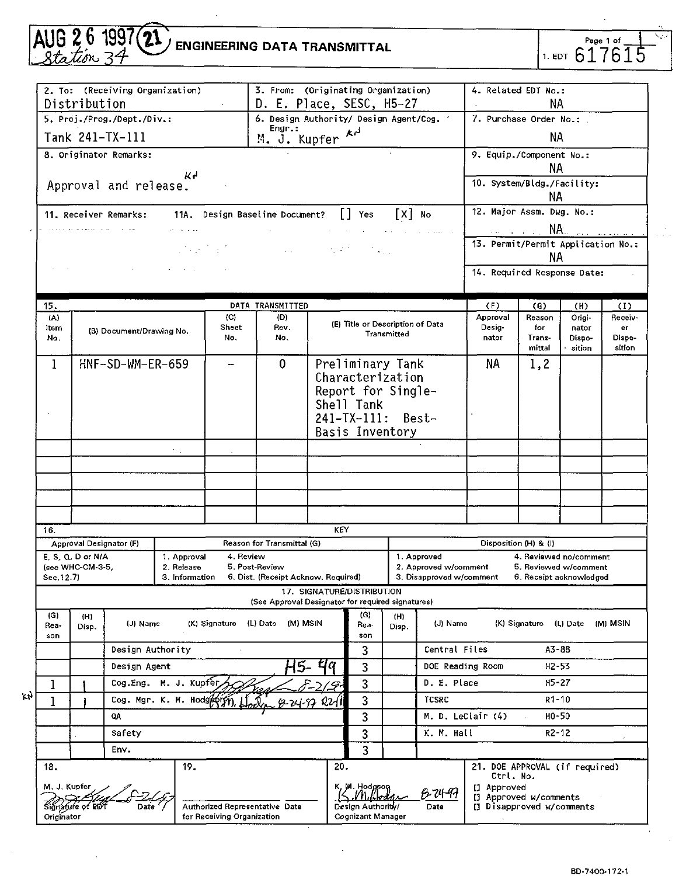# **AUG 26 1997 21** ENGINEERING DATA TRANSMITTAL

Page 1 of 61761

Цý.

|                        | Distribution                          | 2. To: (Receiving Organization) |                                             |                            | 3. From: (Originating Organization)<br>D. E. Place, SESC, H5-27 |         |                                                                                                                  |              |                                                                  | 4. Related EDT No.:                                                | ΝA                                                                         |                                     |                                   |
|------------------------|---------------------------------------|---------------------------------|---------------------------------------------|----------------------------|-----------------------------------------------------------------|---------|------------------------------------------------------------------------------------------------------------------|--------------|------------------------------------------------------------------|--------------------------------------------------------------------|----------------------------------------------------------------------------|-------------------------------------|-----------------------------------|
|                        |                                       | 5. Proj./Prog./Dept./Div.:      |                                             |                            | 6. Design Authority/ Design Agent/Cog. '                        |         |                                                                                                                  |              |                                                                  | 7. Purchase Order No.:                                             |                                                                            |                                     |                                   |
|                        |                                       | Tank 241–TX–111                 |                                             |                            | Engr.:<br>M. J. Kupfer                                          |         | لمهم                                                                                                             |              |                                                                  |                                                                    | NА                                                                         |                                     |                                   |
| 8. Originator Remarks: |                                       |                                 |                                             |                            | 9. Equip./Component No.:                                        | NА      |                                                                                                                  |              |                                                                  |                                                                    |                                                                            |                                     |                                   |
|                        |                                       | Approval and release.           |                                             |                            |                                                                 |         |                                                                                                                  |              |                                                                  | 10. System/Bldg./Facility:                                         | NΑ                                                                         |                                     |                                   |
|                        | and a series of the series of the     | 11. Receiver Remarks:           |                                             |                            | 11A. Design Baseline Document?                                  |         | $[ ]$ Yes                                                                                                        | [X] No       |                                                                  | 12. Major Assm. Dwg. No.:                                          | NA.                                                                        |                                     |                                   |
|                        |                                       |                                 | いなんりょう                                      |                            | $\mathcal{L}^{\mathcal{L}}$                                     |         |                                                                                                                  |              |                                                                  | 13. Permit/Permit Application No.:                                 | NА                                                                         |                                     |                                   |
|                        |                                       |                                 |                                             |                            |                                                                 |         |                                                                                                                  |              |                                                                  | 14. Required Response Date:                                        |                                                                            |                                     |                                   |
| 15.                    |                                       |                                 |                                             |                            | DATA TRANSMITTED                                                |         |                                                                                                                  |              |                                                                  | (F)                                                                | (G)                                                                        | (H)                                 | (1)                               |
| (A)<br>Item<br>No.     |                                       | (B) Document/Drawing No.        |                                             | (C)<br>Sheet<br>No.        | (D)<br>Rev.<br>No.                                              |         | (E) Title or Description of Data                                                                                 | Transmitted  |                                                                  | Approval<br>Desig-<br>nator                                        | Reason<br>for<br>Trans-<br>mittal                                          | Origi-<br>nator<br>Dispo-<br>sition | Receiv-<br>er<br>Dispo-<br>sition |
| 1                      |                                       | HNF-SD-WM-ER-659                |                                             |                            | 0                                                               |         | Preliminary Tank<br>Characterization<br>Report for Single-<br>Shell Tank<br>$241 - TX - 111:$<br>Basis Inventory |              | Best-                                                            | NА                                                                 | 1,2                                                                        |                                     |                                   |
|                        |                                       |                                 |                                             |                            |                                                                 |         |                                                                                                                  |              |                                                                  |                                                                    |                                                                            |                                     |                                   |
|                        |                                       |                                 |                                             |                            |                                                                 |         |                                                                                                                  |              |                                                                  |                                                                    |                                                                            |                                     |                                   |
|                        |                                       |                                 |                                             |                            |                                                                 |         |                                                                                                                  |              |                                                                  |                                                                    |                                                                            |                                     |                                   |
| 16.                    |                                       |                                 |                                             |                            |                                                                 | KEY     |                                                                                                                  |              |                                                                  |                                                                    |                                                                            |                                     |                                   |
|                        | Approval Designator (F)               |                                 |                                             |                            | Reason for Transmittal (G)                                      |         |                                                                                                                  |              |                                                                  |                                                                    | Disposition (H) & (I)                                                      |                                     |                                   |
| Sec. 12.7)             | E, S, Q, D or N/A<br>(see WHC-CM-3-5, |                                 | 1. Approval<br>2. Release<br>3. Information | 4. Review                  | 5. Post-Review<br>6. Dist. (Receipt Acknow. Required)           |         |                                                                                                                  |              | 1. Approved<br>2. Approved w/comment<br>3. Disapproved w/comment |                                                                    | 4. Reviewed no/comment<br>5. Reviewed w/comment<br>6. Receipt acknowledged |                                     |                                   |
|                        |                                       |                                 |                                             |                            | (See Approval Designator for required signatures)               |         | 17. SIGNATURE/DISTRIBUTION                                                                                       |              |                                                                  |                                                                    |                                                                            |                                     |                                   |
| (G)<br>Rea-<br>son     | (H)<br>Disp.                          | (J) Name                        |                                             |                            | (K) Signature (L) Date (M) MSIN                                 |         | (G)<br>Rea-<br>son                                                                                               | (H)<br>Disp. | (J) Name<br>(K) Signature (L) Date (M) MSIN                      |                                                                    |                                                                            |                                     |                                   |
|                        |                                       | Design Authority                |                                             |                            |                                                                 |         | 3                                                                                                                |              | Central Files                                                    |                                                                    | $A3 - 88$                                                                  |                                     |                                   |
|                        |                                       | Design Agent                    |                                             |                            |                                                                 |         | 3                                                                                                                |              | DOE Reading Room                                                 |                                                                    | H <sub>2</sub> -53                                                         |                                     |                                   |
| ı                      |                                       | Cog.Eng.                        | M. J. Kupfer                                |                            |                                                                 |         | 3                                                                                                                |              | D. E. Place                                                      |                                                                    | $H5 - 27$                                                                  |                                     |                                   |
| 1                      |                                       |                                 | Cog. Mgr. K. M. Hodg                        |                            |                                                                 | 72 R.2A | 3                                                                                                                |              | TCSRC                                                            |                                                                    | R1-10                                                                      |                                     |                                   |
|                        |                                       | QA                              |                                             |                            |                                                                 |         | 3                                                                                                                |              |                                                                  | M. D. LeClair (4)                                                  | H <sub>0</sub> -50                                                         |                                     |                                   |
|                        |                                       | Safety                          |                                             |                            |                                                                 |         | 3                                                                                                                |              | K. M. Hall                                                       |                                                                    | R <sub>2</sub> -12                                                         |                                     |                                   |
|                        |                                       | Env.                            |                                             |                            |                                                                 |         | 3                                                                                                                |              |                                                                  |                                                                    |                                                                            |                                     |                                   |
| 18.                    |                                       |                                 | 19.                                         |                            |                                                                 | 20.     |                                                                                                                  |              |                                                                  | 21. DOE APPROVAL (if required)<br>Ctrl. No.                        |                                                                            |                                     |                                   |
| Originator             | M. J. Kupfer<br>Signature of 120      |                                 |                                             | for Receiving Organization | Authorized Representative Date                                  |         | K M. Hodoson<br>K Millod<br>Design Authority/<br><b>Cognizant Manager</b>                                        |              | Date                                                             | [1 Approved<br>[] Approved w/comments<br>[] Disapproved w/comments |                                                                            |                                     |                                   |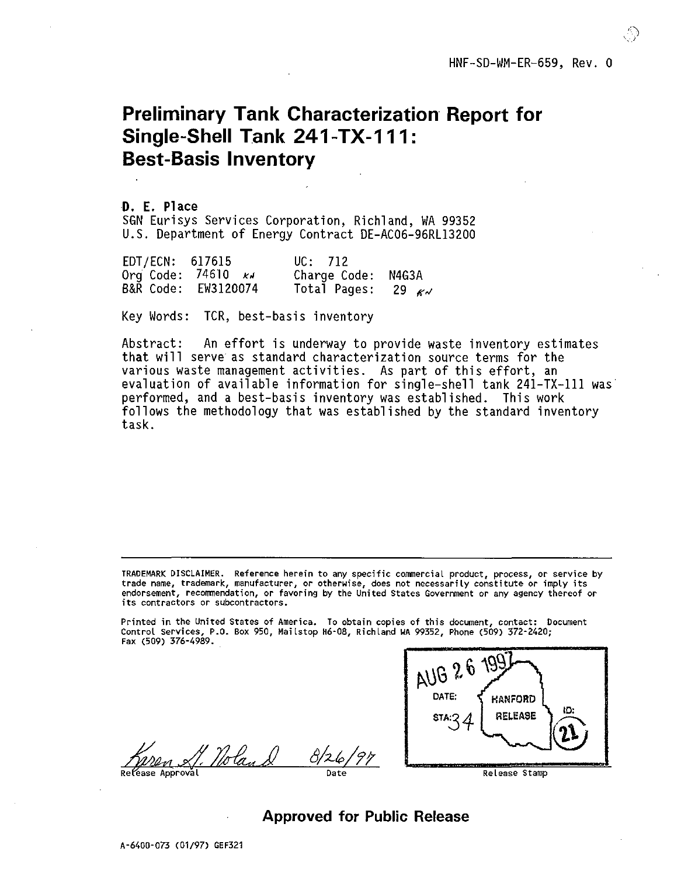# Preliminary Tank Characterization Report for Single-Shell Tank 241-TX-111: Best-Basis Inventory

**D. E. Place** SGN Eurisys Services Corporation, Richland, WA 99352 U.S. Department of Energy Contract DE-AC06-96RL13200

| EDT/ECN: 617615 |           | UC: 712                                        |  |
|-----------------|-----------|------------------------------------------------|--|
| Org Code:       | 74610 km  | Charge Code: N4G3A                             |  |
| B&R Code:       | EW3120074 | Total Pages: 29 $_{\mathscr{K}}\mathscr{\sim}$ |  |

Key Words: TCR, best-basis inventory

Abstract: An effort is underway to provide waste inventory estimates that will serve as standard characterization source terms for the various waste management activities. As part of this effort, an evaluation of available information for single-shell tank 241-TX-lll was performed, and a best-basis inventory was established. This work follows the methodology that was established by the standard inventory task.

TRADEMARK DISCLAIMER. Reference herein to any specific commercial product, process, or service by trade name, trademark, manufacturer, or otherwise, does not necessarily constitute or imply its endorsement, recommendation, or favoring by the United States Government or any agency thereof or its contractors or subcontractors.

Printed in the United States of America. To obtain copies of this document, contact: Document Control Services, P.O. Box 950, Mailstop H6-08, Richland UA 99352, Phone (509) 372-2420; Fax (509) 376-4989.



#### Approved for Public Release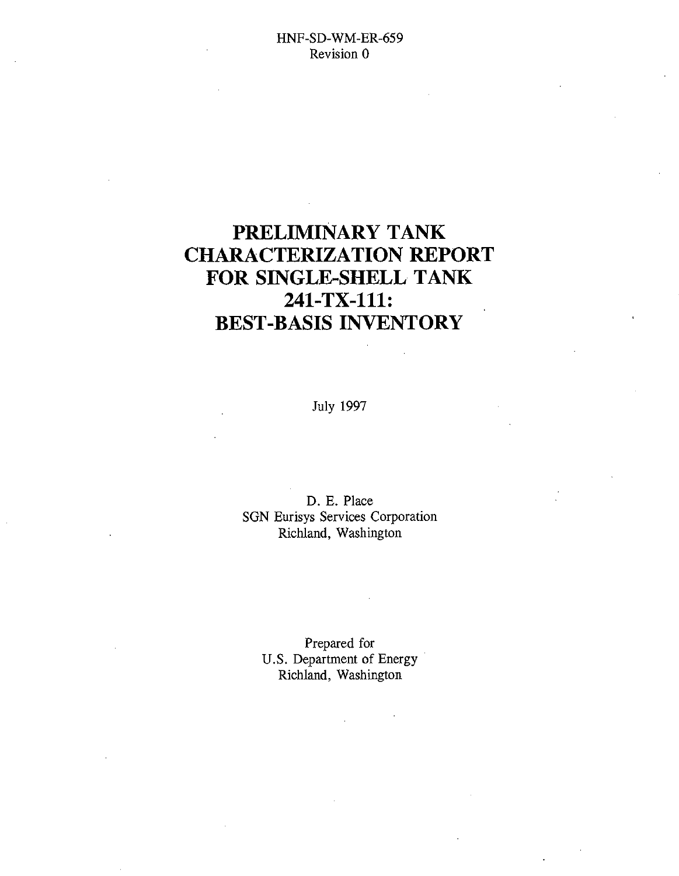# PRELIMINARY TANK CHARACTERIZATION REPORT FOR SINGLE-SHELL TANK 241-TX-lll: BEST-BASIS INVENTORY

July 1997

D. E. Place SGN Eurisys Services Corporation Richland, Washington

> Prepared for U.S. Department of Energy Richland, Washington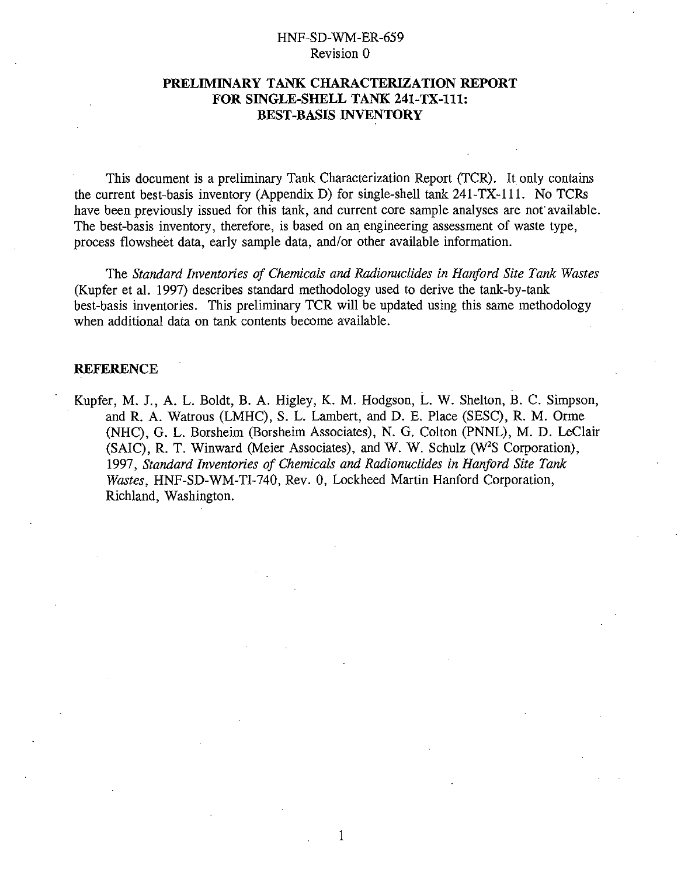### **PRELIMINARY TANK CHARACTERIZATION REPORT FOR SINGLE-SHELL TANK 241-TX-lll: BEST-BASIS INVENTORY**

This document is a preliminary Tank Characterization Report (TCR). It only contains the current best-basis inventory (Appendix D) for single-shell tank 241-TX-lll. No TCRs have been previously issued for this tank, and current core sample analyses are not available. The best-basis inventory, therefore, is based on an engineering assessment of waste type, process flowsheet data, early sample data, and/or other available information.

The *Standard Inventories of Chemicals and Radionuclides in Hanford Site Tank Wastes* (Kupfer et al. 1997) describes standard methodology used to derive the tank-by-tank best-basis inventories. This preliminary TCR will be updated using this same methodology when additional data on tank contents become available.

#### **REFERENCE**

Kupfer, M. J., A. L. Boldt, B. A. Higley, K. M. Hodgson, L. W. Shelton, B. C. Simpson, and R. A. Watrous (LMHC), S. L. Lambert, and D. E. Place (SESC), R. M. Orme (NHC), G. L. Borsheim (Borsheim Associates), N. G. Colton (PNNL), M. D. LeClair (SAIC), R. T. Winward (Meier Associates), and W. W. Schulz (W^S Corporation), 1997, *Standard Inventories of Chemicals and Radionuclides in Hanford Site Tank Wastes,* HNF-SD-WM-TI-740, Rev. 0, Lockheed Martin Hanford Corporation, Richland, Washington.

1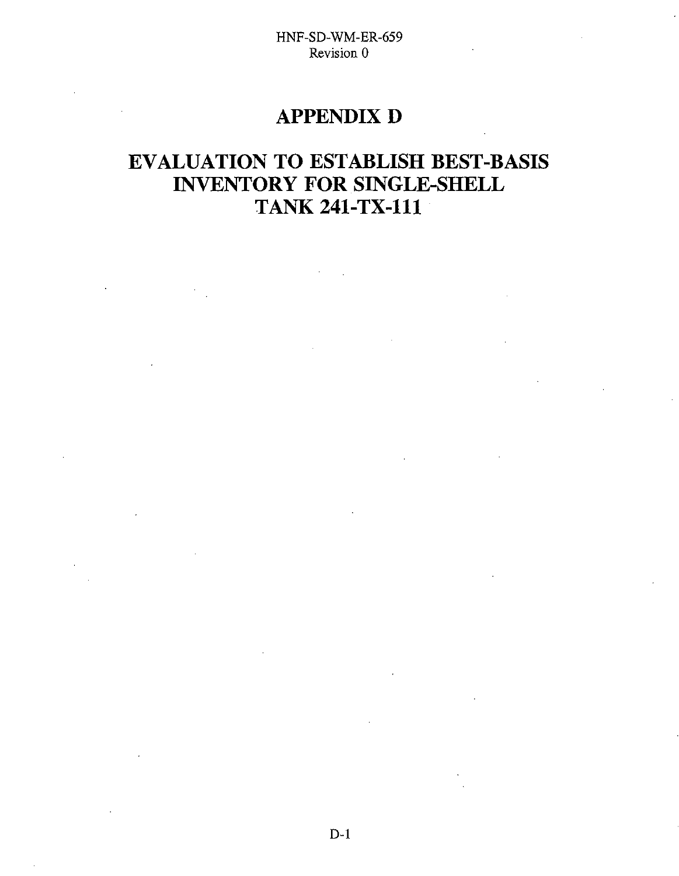# APPENDIX D

# EVALUATION TO ESTABLISH BEST-BASIS INVENTORY FOR SINGLE-SHELL TANK 241-TX-lll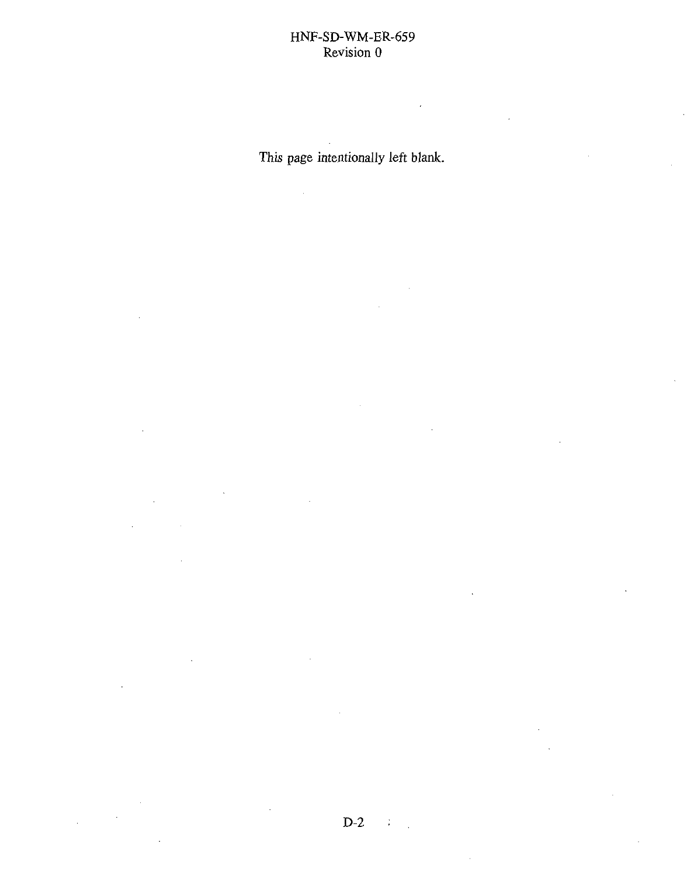This page intentionally left blank.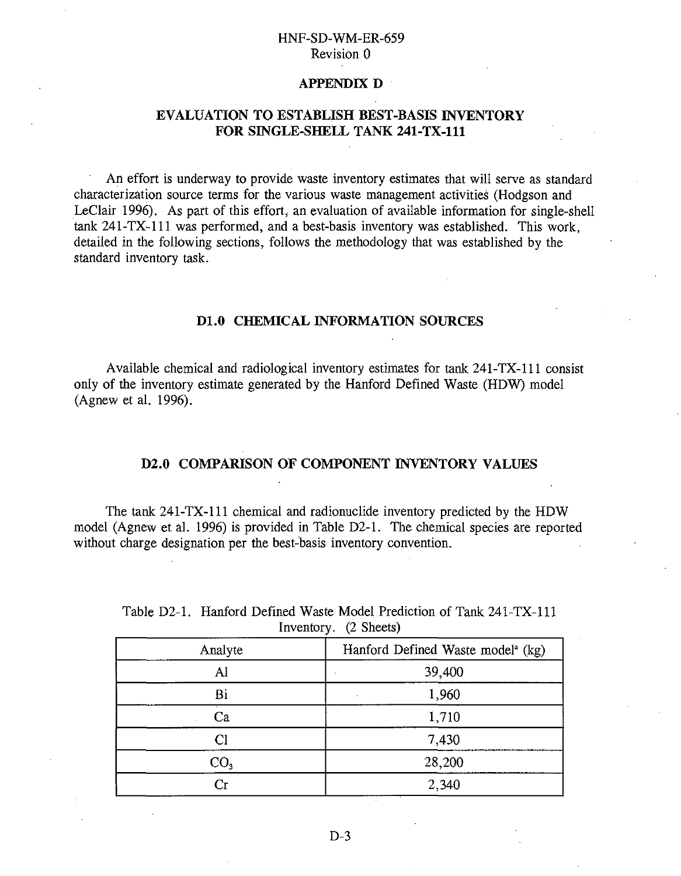#### **APPENDIX D**

#### **EVALUATION TO ESTABLISH BEST-BASIS INVENTORY FOR SINGLE-SHELL TANK 241-TX-lll**

An effort is underway to provide waste inventory estimates that will serve as standard characterization source terms for the various waste management activities (Hodgson and LeClair 1996). As part of this effort, an evaluation of available information for single-shell tank 241-TX-lll was performed, and a best-basis inventory was established. This work, detailed in the following sections, follows the methodology that was established by the standard inventory task.

#### **D1.0 CHEMICAL INFORMATION SOURCES**

Available chemical and radiological inventory estimates for tank 241-TX-lll consist only of the inventory estimate generated by the Hanford Defined Waste (HDW) model (Agnew et al. 1996).

#### **D2.0 COMPARISON OF COMPONENT INVENTORY VALUES**

The tank 241-TX-lll chemical and radionuclide inventory predicted by the HDW model (Agnew et al. 1996) is provided in Table D2-1. The chemical species are reported without charge designation per the best-basis inventory convention.

|                 | $\cdots$                                      |  |  |  |  |
|-----------------|-----------------------------------------------|--|--|--|--|
| Analyte         | Hanford Defined Waste model <sup>a</sup> (kg) |  |  |  |  |
| Al              | 39,400                                        |  |  |  |  |
| Bi              | 1,960                                         |  |  |  |  |
| Сa              | 1,710                                         |  |  |  |  |
| r1              | 7,430                                         |  |  |  |  |
| CO <sub>3</sub> | 28,200                                        |  |  |  |  |
|                 | 2,340                                         |  |  |  |  |

Table D2-1. Hanford Defined Waste Model Prediction of Tank 241-TX-lll Inventory. (2 Sheets)

D-3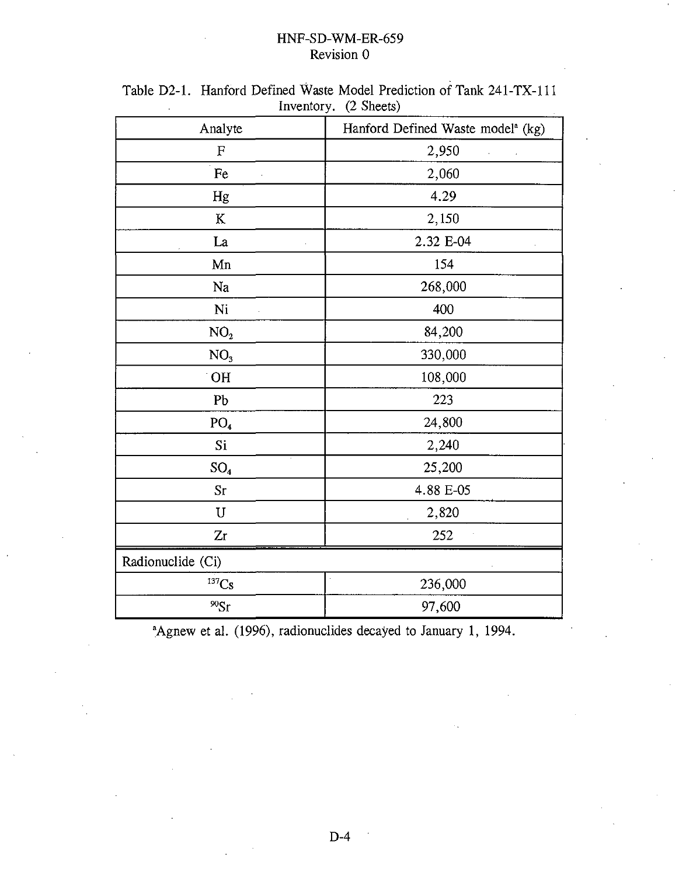| Analyte               | Hanford Defined Waste model <sup>a</sup> (kg) |
|-----------------------|-----------------------------------------------|
| F                     | 2,950<br>$\mathbf{r}$                         |
| Fe                    | 2,060                                         |
| Hg                    | 4.29                                          |
| K                     | 2,150                                         |
| La                    | 2.32 E-04                                     |
| Mn                    | 154                                           |
| Na                    | 268,000                                       |
| Ni                    | 400                                           |
| NO <sub>2</sub>       | 84,200                                        |
| $\rm NO_3$            | 330,000                                       |
| OH                    | 108,000                                       |
| Pb                    | 223                                           |
| PO <sub>4</sub>       | 24,800                                        |
| Si                    | 2,240                                         |
| $SO_4$                | 25,200                                        |
| Sr                    | 4.88 E-05                                     |
| U                     | 2,820                                         |
| Zr                    | 252                                           |
| Radionuclide (Ci)     |                                               |
| ${}^{137}\mathrm{Cs}$ | 236,000                                       |
| % <sub>Sr</sub>       | 97,600                                        |

Table D2-1. Hanford Defined Waste Model Prediction of Tank 241-TX-lll Inventory. (2 Sheets)

"Agnew et al. (1996), radionuclides decayed to January 1, 1994.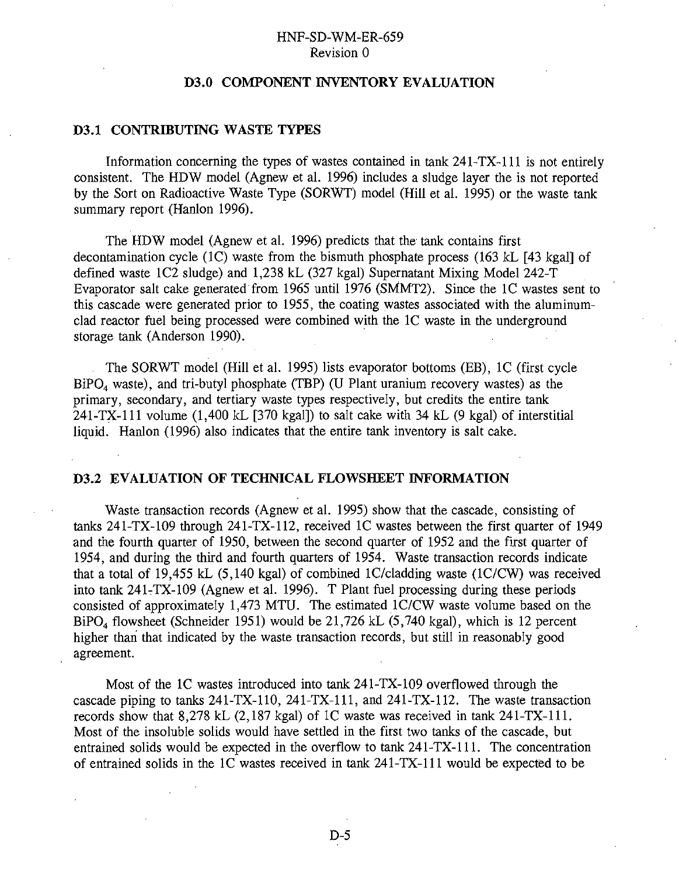#### **D3.0 COMPONENT INVENTORY EVALUATION**

#### **D3.1 CONTRIBUTING WASTE TYPES**

Information concerning the types of wastes contained in tank  $241-TX-111$  is not entirely consistent. The HDW model (Agnew et al. 1996) includes a sludge layer the is not reported by the Sort on Radioactive Waste Type (SORWT) model (Hill et al. 1995) or the waste tank summary report (Hanlon 1996).

The HDW model (Agnew et al. 1996) predicts that the' tank contains first decontamination cycle (1C) waste from the bismuth phosphate process (163 kL [43 kgal] of defined waste 1C2 sludge) and 1,238 kL (327 kgal) Supernatant Mixing Model 242-T Evaporator salt cake generated from 1965 until 1976 (SMMT2). Since the 1C wastes sent to this cascade were generated prior to 1955, the coating wastes associated with the aluminumclad reactor fuel being processed were combined with the 1C waste in the underground storage tank (Anderson 1990).

The SORWT model (Hill et al. 1995) lists evaporator bottoms (EB), 1C (first cycle  $BiPO<sub>4</sub>$  waste), and tri-butyl phosphate (TBP) (U Plant uranium recovery wastes) as the primary, secondary, and tertiary waste types respectively, but credits the entire tank 241-TX-lll volume (1,400 kL [370 kgal]) to salt cake with 34 kL (9 kgal) of interstitial liquid. Hanlon (1996) also indicates that the entire tank inventory is salt cake.

#### **D3.2 EVALUATION OF TECHNICAL FLOWSHEET INFORMATION**

Waste transaction records (Agnew et al. 1995) show that the cascade, consisting of tanks 241-TX-109 through 241-TX-112, received 1C wastes between the first quarter of 1949 and the fourth quarter of 1950, between the second quarter of 1952 and the first quarter of 1954, and during the third and fourth quarters of 1954. Waste transaction records indicate that a total of 19,455 kL (5,140 kgal) of combined lC/cladding waste (1C/CW) was received into tank 241-TX-109 (Agnew et al. 1996). T Plant fuel processing during these periods consisted of approximately 1,473 MTU. The estimated 1C/CW waste volume based on the  $BiPO<sub>4</sub>$  flowsheet (Schneider 1951) would be 21,726 kL (5,740 kgal), which is 12 percent higher than that indicated by the waste transaction records, but still in reasonably good agreement.

Most of the 1C wastes introduced into tank 241-TX-109 overflowed through the cascade piping to tanks 241-TX-ilO, 241-TX-lll, and 241-TX-112. The waste transaction records show that  $8,278$  kL  $(2,187 \text{ kgal})$  of 1C waste was received in tank  $241-TX-111$ . Most of the insoluble solids would have settled in the first two tanks of the cascade, but entrained solids would be expected in the overflow to tank 241-TX-lll. The concentration of entrained solids in the 1C wastes received in tank 241-TX-lll would be expected to be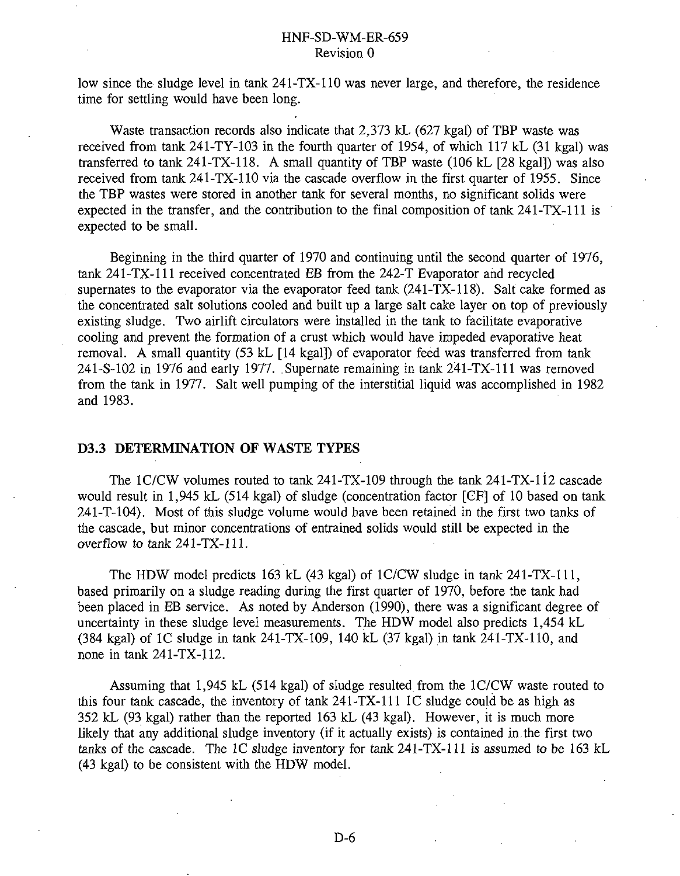low since the sludge level in tank 241-TX-110 was never large, and therefore, the residence time for settling would have been long.

Waste transaction records also indicate that 2,373 kL (627 kgal) of TBP waste was received from tank 241-TY-103 in the fourth quarter of 1954, of which 117 kL (31 kgal) was transferred to tank 241-TX-l 18. A small quantity of TBP waste (106 kL [28 kgal]) was also received from tank 241-TX-l 10 via the cascade overflow in the first quarter of 1955. Since the TBP wastes were stored in another tank for several months, no significant solids were expected in the transfer, and the contribution to the final composition of tank 241-TX-111 is expected to be small.

Beginning in the third quarter of 1970 and continuing until the second quarter of 1976, tank 241-TX-l 11 received concentrated EB from the 242-T Evaporator and recycled supernates to the evaporator via the evaporator feed tank  $(241-TX-118)$ . Salt cake formed as the concentrated salt solutions cooled and built up a large salt cake layer on top of previously existing sludge. Two airlift circulators were installed in the tank to facilitate evaporative cooling and prevent the formation of a crust which would have impeded evaporative heat removal. A small quantity (53 kL [14 kgal]) of evaporator feed was transferred from tank 241-S-102 in 1976 and early 1977. Supernate remaining in tank 241-TX-l 11 was removed from the tank in 1977. Salt well pumping of the interstitial liquid was accomplished in 1982 and 1983.

#### **D3.3 DETERMINATION OF WASTE TYPES**

The 1C/CW volumes routed to tank 241-TX-109 through the tank 241-TX-112 cascade would result in 1,945 kL (514 kgal) of sludge (concentration factor [GF] of 10 based on tank 241-T-104). Most of this sludge volume would have been retained in the first two tanks of the cascade, but minor concentrations of entrained solids would still be expected in the overflow to tank 241-TX-l 11.

The HDW model predicts 163 kL  $(43 \text{ kcal})$  of 1C/CW sludge in tank 241-TX-111. based primarily on a sludge reading during the first quarter of 1970, before the tank had been placed in EB service. As noted by Anderson (1990), there was a significant degree of uncertainty in these sludge level measurements. The HDW model also predicts 1,454 kL (384 kgal) of 1C sludge in tank 241-TX-109, 140 kL (37 kgal) in tank 241-TX-l 10, and none in tank 241-TX-l 12.

Assuming that 1,945 kL (514 kgal) of sludge resulted from the 1C/CW waste routed to this four tank cascade, the inventory of tank 241-TX-lll 1C sludge could be as high as 352 kL (93 kgal) rather than the reported 163 kL (43 kgal). However, it is much more likely that any additional sludge inventory (if it actually exists) is contained in.the first two tanks of the cascade. The 1C sludge inventory for tank 241-TX-lll is assumed to be 163 kL (43 kgal) to be consistent with the HDW model.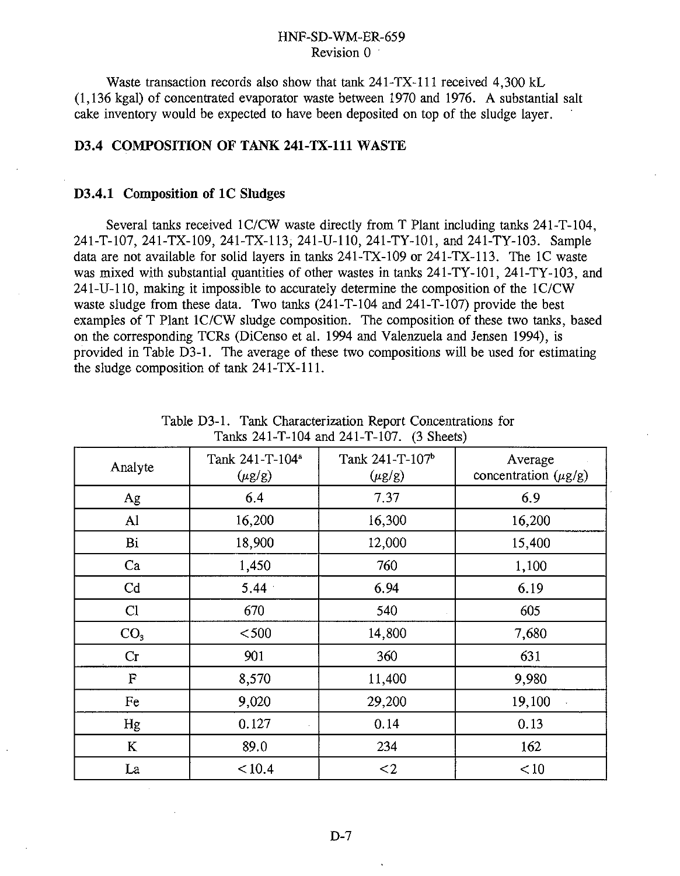#### HNF-SD-WM-ER-659 Revision 0<sup>-1</sup>

Waste transaction records also show that tank 241-TX-111 received 4,300 kL (1,136 kgal) of concentrated evaporator waste between 1970 and 1976. A substantial salt cake inventory would be expected to have been deposited on top of the sludge layer.

## **D3.4 COMPOSITION OF TANK 241-TX-lll WASTE**

#### **D3.4.1 Composition of 1C Sludges**

Several tanks received 1C/CW waste directly from T Plant including tanks 241-T-104, 241-T-107, 241-TX-109, 241-TX-113, 241-U-110, 241-TY-101, and 241-TY-103. Sample data are not available for solid layers in tanks 241-TX-109 or 241-TX-113. The 1C waste was mixed with substantial quantities of other wastes in tanks 241-TY-101, 241-TY-103, and 241-U-110, making it impossible to accurately determine the composition of the 1C/CW waste sludge from these data. Two tanks (241-T-104 and 241-T-107) provide the best examples of T Plant 1C/CW sludge composition. The composition of these two tanks, based on the corresponding TCRs (DiCenso et al. 1994 and Valenzuela and Jensen 1994), is provided in Table D3-1. The average of these two compositions will be used for estimating the sludge composition of tank 241-TX-lll.

| Analyte         | Tank 241-T-104 <sup>a</sup><br>$(\mu g/g)$ | Tank 241-T-107 <sup>b</sup><br>$(\mu g/g)$ | Average<br>concentration $(\mu g/g)$ |
|-----------------|--------------------------------------------|--------------------------------------------|--------------------------------------|
| Ag              | 6.4                                        | 7.37                                       | 6.9                                  |
| Al              | 16,200                                     | 16,300                                     | 16,200                               |
| Bi              | 18,900                                     | 12,000                                     | 15,400                               |
| Ca              | 1,450                                      | 760                                        | 1,100                                |
| Cd              | 5.44                                       | 6.94                                       | 6.19                                 |
| Cl              | 670                                        | 540                                        | 605                                  |
| CO <sub>3</sub> | < 500                                      | 14,800                                     | 7,680                                |
| $_{\rm Cr}$     | 901                                        | 360                                        | 631                                  |
| F               | 8,570                                      | 11,400                                     | 9,980                                |
| Fe              | 9.020                                      | 29,200                                     | 19,100                               |
| Hg              | 0.127                                      | 0.14                                       | 0.13                                 |
| K               | 89.0                                       | 234                                        | 162                                  |
| La              | < 10.4                                     | $<$ 2                                      | < 10                                 |

Table D3-1. Tank Characterization Report Concentrations for Tanks 241-T-104 and 241-T-107. (3 Sheets)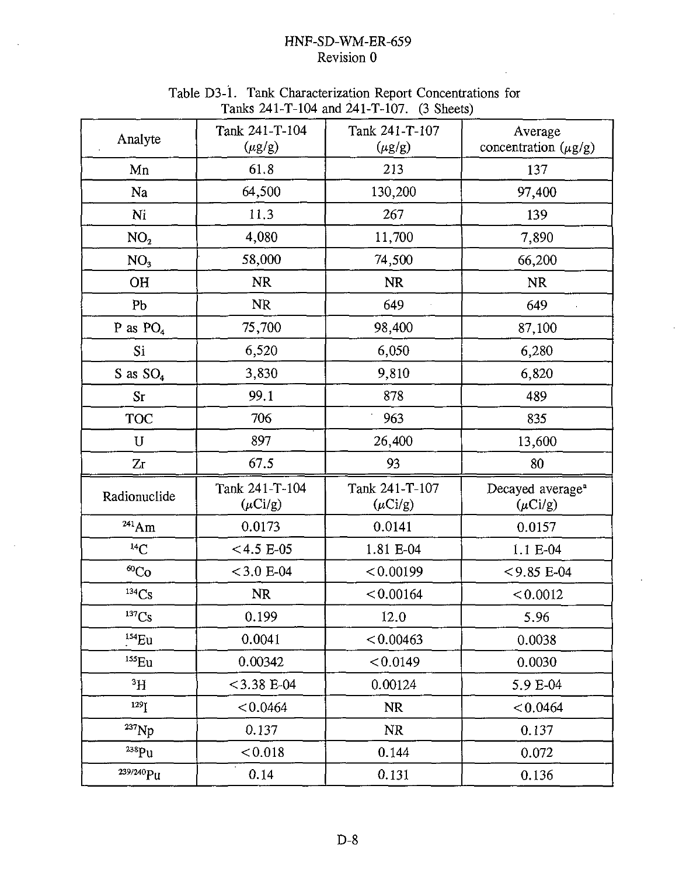|                     |                                | $\sim$ $\sim$ $\sim$ $\sim$ $\sim$ $\sim$ |                                              |
|---------------------|--------------------------------|-------------------------------------------|----------------------------------------------|
| Analyte             | Tank 241-T-104<br>$(\mu g/g)$  | Tank 241-T-107<br>$(\mu g/g)$             | Average<br>concentration $(\mu g/g)$         |
| Mn                  | 61.8                           | 213                                       | 137                                          |
| Na                  | 64,500                         | 130,200                                   | 97,400                                       |
| Ni                  | 11.3                           | 267                                       | 139                                          |
| NO <sub>2</sub>     | 4,080                          | 11,700                                    | 7,890                                        |
| NO <sub>3</sub>     | 58,000                         | 74,500                                    | 66,200                                       |
| <b>OH</b>           | <b>NR</b>                      | <b>NR</b>                                 | <b>NR</b>                                    |
| Pb                  | <b>NR</b>                      | 649                                       | 649                                          |
| P as $PO4$          | 75,700                         | 98,400                                    | 87,100                                       |
| Si                  | 6,520                          | 6,050                                     | 6,280                                        |
| $S$ as $SO_4$       | 3,830                          | 9,810                                     | 6,820                                        |
| Sr                  | 99.1                           | 878                                       | 489                                          |
| <b>TOC</b>          | 706                            | 963                                       | 835                                          |
| U                   | 897                            | 26,400                                    | 13,600                                       |
| Zr                  | 67.5                           | 93                                        | 80                                           |
| Radionuclide        | Tank 241-T-104<br>$(\mu Ci/g)$ | Tank 241-T-107<br>$(\mu Ci/g)$            | Decayed average <sup>a</sup><br>$(\mu Ci/g)$ |
| $^{241}\mathrm{Am}$ | 0.0173                         | 0.0141                                    | 0.0157                                       |
| $^{14}C$            | $< 4.5 E-05$                   | 1.81 E-04                                 | 1.1 E-04                                     |
| $\rm ^{60}Co$       | $< 3.0 E-04$                   | < 0.00199                                 | $<$ 9.85 E-04                                |
| $^{134}\mathrm{Cs}$ | <b>NR</b>                      | < 0.00164                                 | < 0.0012                                     |
| 137Cs               | 0.199                          | 12.0                                      | 5.96                                         |
| $^{154}\mathrm{Eu}$ | 0.0041                         | < 0.00463                                 | 0.0038                                       |
| $^{155}\mathrm{Eu}$ | 0.00342                        | < 0.0149                                  | 0.0030                                       |
| <sup>3</sup> H      | $<$ 3.38 E-04                  | 0.00124                                   | 5.9 E-04                                     |
| $129$ [             | < 0.0464                       | $\rm NR$                                  | < 0.0464                                     |
| $237$ Np            | 0.137                          | <b>NR</b>                                 | 0.137                                        |
| $^{238}\mathrm{Pu}$ | < 0.018                        | 0.144                                     | 0.072                                        |
| 239/240 Pu          | 0.14                           | 0.131                                     | 0.136                                        |

#### Table D3-1. Tank Characterization Report Concentrations for Tanks 241-T-104 and 241-T-107. (3 Sheets)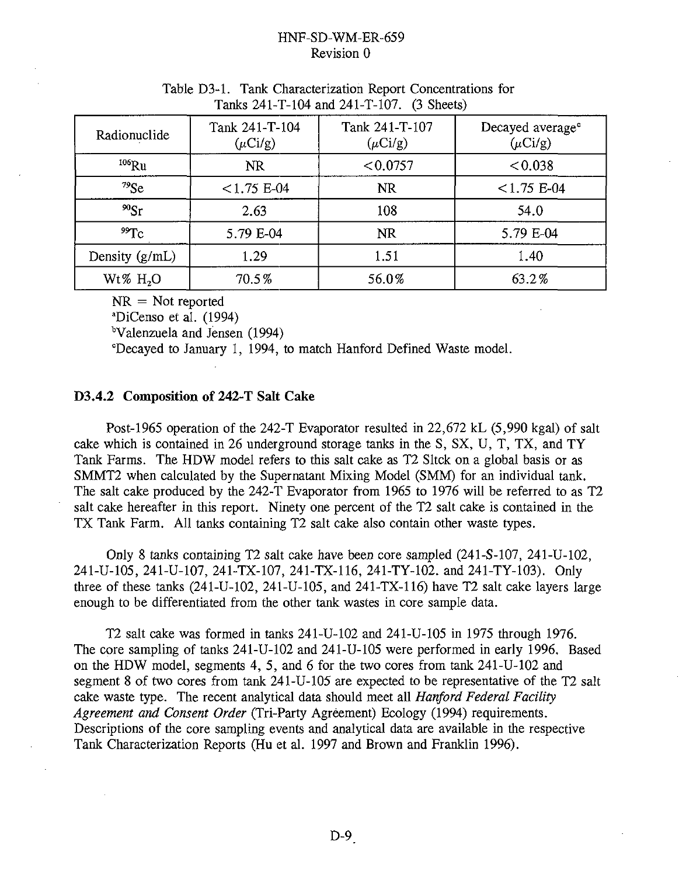| Radionuclide            | Tank 241-T-104<br>$(\mu Ci/g)$ | Tank 241-T-107<br>$(\mu Ci/g)$ | Decayed average <sup>e</sup><br>$(\mu Ci/g)$ |
|-------------------------|--------------------------------|--------------------------------|----------------------------------------------|
| $106$ Ru                | NR.                            | < 0.0757                       | < 0.038                                      |
| $^{79}$ Se              | $<1.75$ E-04                   | <b>NR</b>                      | $<1.75$ E-04                                 |
| $90$ Sr                 | 2.63                           | 108                            | 54.0                                         |
| $\rm^{99}Tc$            | 5.79 E-04                      | NR                             | 5.79 E-04                                    |
| Density $(g/mL)$        | 1.29                           | 1.51                           | 1.40                                         |
| $Wt\%$ H <sub>2</sub> O | 70.5%                          | 56.0%                          | 63.2%                                        |

Table D3-1. Tank Characterization Report Concentrations for Tanks 241-T-104 and 241-T-107. (3 Sheets)

 $NR = Not$  reported

"DiCenso et al. (1994)

<sup>b</sup>Valenzuela and Jensen (1994)

"Decayed to January 1, 1994, to match Hanford Defined Waste model.

#### **D3.4.2 Composition of 242-T Salt Cake**

Post-1965 operation of the 242-T Evaporator resulted in 22,672 kL (5,990 kgal) of salt cake which is contained in 26 underground storage tanks in the S, SX, U, T, TX, and TY Tank Farms. The HDW model refers to this salt cake as T2 Sltck on a global basis or as SMMT2 when calculated by the Supernatant Mixing Model (SMM) for an individual tank. The salt cake produced by the 242-T Evaporator from 1965 to 1976 will be referred to as T2 salt cake hereafter in this report. Ninety one percent of the T2 salt cake is contained in the TX Tank Farm. All tanks containing T2 salt cake also contain other waste types.

Only 8 tanks containing T2 salt cake have been core sampled (241-S-107, 241-U-102, 241-U-105, 241-U-107, 241-TX-107, 241-TX-116, 241-TY-102. and 241-TY-103). Only three of these tanks (241-U-102, 241-U-105, and 241-TX-116) have T2 salt cake layers large enough to be differentiated from the other tank wastes in core sample data.

T2 salt cake was formed in tanks 241-U-102 and 241-U-105 in 1975 through 1976. The core sampling of tanks 241-U-102 and 241-U-105 were performed in early 1996. Based on the HDW model, segments 4, 5, and 6 for the two cores from tank 241-U-102 and segment 8 of two cores from tank 241-U-105 are expected to be representative of the T2 salt cake waste type. The recent analytical data should meet all *Hanford Federal Facility Agreement and Consent Order* (Tri-Party Agreement) Ecology (1994) requirements. Descriptions of the core sampling events and analytical data are available in the respective Tank Characterization Reports (Hu et al. 1997 and Brown and Franklin 1996).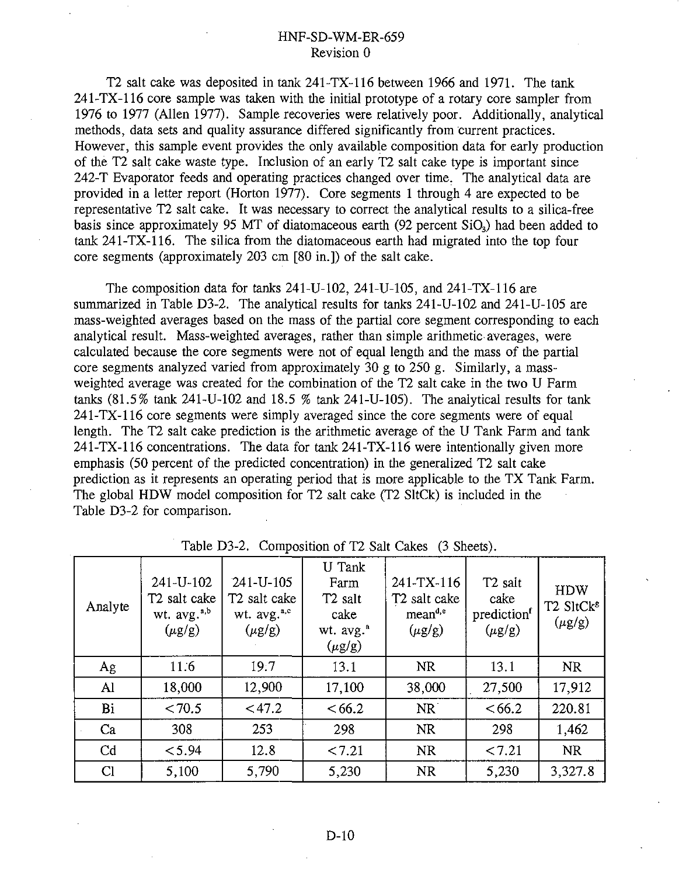T2 salt cake was deposited in tank 241-TX-116 between 1966 and 1971. The tank 241-TX-116 core sample was taken with the initial prototype of a rotary core sampler from 1976 to 1977 (Allen 1977). Sample recoveries were relatively poor. Additionally, analytical methods, data sets and quality assurance differed significantly from current practices. However, this sample event provides the only available composition data for early production of the T2 salt cake waste type. Inclusion of an early T2 salt cake type is important since 242-T Evaporator feeds and operating practices changed over time. The analytical data are provided in a letter report (Horton 1977). Core segments 1 through 4 are expected to be representative T2 salt cake. It was necessary to correct the analytical results to a silica-free basis since approximately 95 MT of diatomaceous earth  $(92$  percent  $SiO<sub>3</sub>$ ) had been added to tank 241-TX-116. The silica from the diatomaceous earth had migrated into the top four core segments (approximately 203 cm [80 in.]) of the salt cake.

The composition data for tanks 241-U-102, 241-U-105, and 241-TX-116 are summarized in Table D3-2. The analytical results for tanks 241-U-102 and 241-U-105 are mass-weighted averages based on the mass of the partial core segment corresponding to each analytical result. Mass-weighted averages, rather than simple arithmetic averages, were calculated because the core segments were not of equal length and the mass of the partial core segments analyzed varied from approximately  $30 \text{ g}$  to  $250 \text{ g}$ . Similarly, a massweighted average was created for the combination of the T2 salt cake in the two U Farm tanks (81.5% tank 241-U-102 and 18.5 % tank 241-U-105). The analytical results for tank 241-TX-116 core segments were simply averaged since the core segments were of equal length. The T2 salt cake prediction is the arithmetic average of the U Tank Farm and tank 241-TX-116 concentrations. The data for tank 241-TX-116 were intentionally given more emphasis (50 percent of the predicted concentration) in the generalized T2 salt cake prediction as it represents an operating period that is more applicable to the TX Tank Farm. The global HDW model composition for T2 salt cake (T2 SltCk) is included in the Table D3-2 for comparison.

| Analyte        | 241-U-102<br>T2 salt cake<br>wt. $avg.^{a,b}$<br>$(\mu g/g)$ | 241-U-105<br>T <sub>2</sub> salt cake<br>wt. avg. <sup>a,c</sup><br>$(\mu g/g)$ | U Tank<br>Farm<br>T <sub>2</sub> salt<br>cake<br>wt. avg. <sup>a</sup><br>$(\mu g/g)$ | 241-TX-116<br>T2 salt cake<br>mean <sup>d,e</sup><br>$(\mu g/g)$ | T <sub>2</sub> salt<br>cake<br>prediction<br>$(\mu g/g)$ | <b>HDW</b><br>T2 SltCk <sup>g</sup><br>$(\mu g/g)$ |
|----------------|--------------------------------------------------------------|---------------------------------------------------------------------------------|---------------------------------------------------------------------------------------|------------------------------------------------------------------|----------------------------------------------------------|----------------------------------------------------|
| Ag             | 11.6                                                         | 19:7                                                                            | 13.1                                                                                  | <b>NR</b>                                                        | 13.1                                                     | <b>NR</b>                                          |
| Al             | 18,000                                                       | 12,900                                                                          | 17,100                                                                                | 38,000                                                           | 27,500                                                   | 17,912                                             |
| Bi             | < 70.5                                                       | < 47.2                                                                          | <66.2                                                                                 | NR <sup>1</sup>                                                  | <66.2                                                    | 220.81                                             |
| Ca             | 308                                                          | 253                                                                             | 298                                                                                   | <b>NR</b>                                                        | 298                                                      | 1,462                                              |
| C <sub>d</sub> | < 5.94                                                       | 12.8                                                                            | < 7.21                                                                                | <b>NR</b>                                                        | < 7.21                                                   | <b>NR</b>                                          |
| Cl             | 5,100                                                        | 5,790                                                                           | 5,230                                                                                 | <b>NR</b>                                                        | 5,230                                                    | 3,327.8                                            |

Table D3-2. Composition of T2 Salt Cakes (3 Sheets).

D-10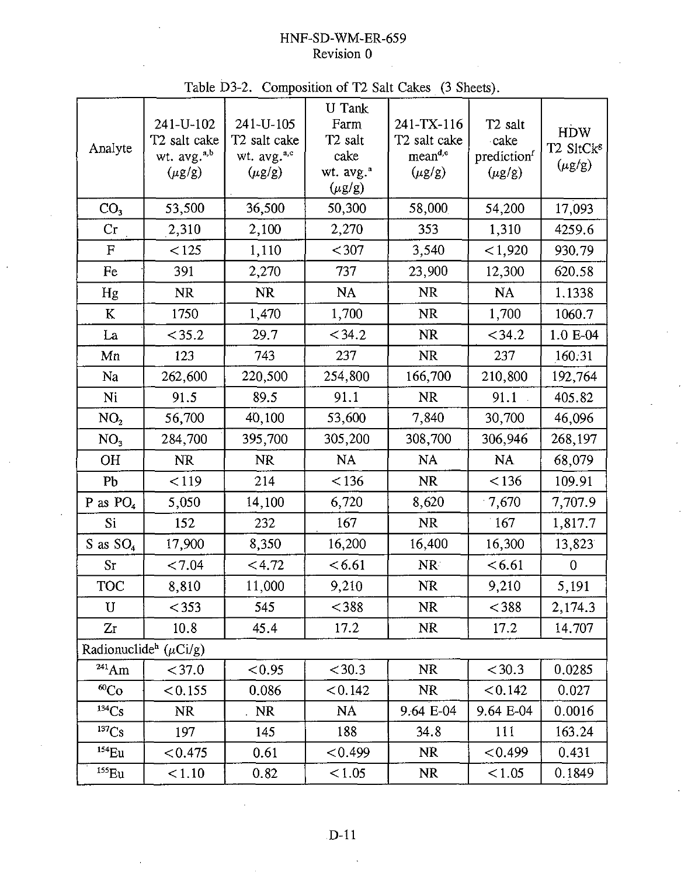| Table D3-2. Composition of T2 Salt Cakes (3 Sheets). |  |  |  |  |
|------------------------------------------------------|--|--|--|--|
|------------------------------------------------------|--|--|--|--|

| Analyte         | 241-U-102<br>T2 salt cake<br>wt. avg. <sup>a,b</sup><br>$(\mu g/g)$ | 241-U-105<br>T2 salt cake<br>wt. avg. <sup>a,c</sup><br>$(\mu g/g)$ | U Tank<br>Farm<br>T <sub>2</sub> salt<br>cake<br>wt. avg. <sup>a</sup><br>$(\mu g/g)$ | 241-TX-116<br>T2 salt cake<br>mean <sup>d,e</sup><br>$(\mu g/g)$ | T <sub>2</sub> salt<br>cake<br>prediction<br>$(\mu g/g)$ | HDW<br>T2 SltCk <sup>s</sup><br>$(\mu g/g)$ |
|-----------------|---------------------------------------------------------------------|---------------------------------------------------------------------|---------------------------------------------------------------------------------------|------------------------------------------------------------------|----------------------------------------------------------|---------------------------------------------|
| CO <sub>3</sub> | 53,500                                                              | 36,500                                                              | 50,300                                                                                | 58,000                                                           | 54,200                                                   | 17,093                                      |
| Cr              | 2,310                                                               | 2,100                                                               | 2,270                                                                                 | 353                                                              | 1,310                                                    | 4259.6                                      |
| $\overline{F}$  | < 125                                                               | 1,110                                                               | $307$                                                                                 | 3,540                                                            | < 1,920                                                  | 930.79                                      |
| Fe              | 391                                                                 | 2,270                                                               | 737                                                                                   | 23,900                                                           | 12,300                                                   | 620.58                                      |
| Hg              | <b>NR</b>                                                           | <b>NR</b>                                                           | $\mathbf{NA}$                                                                         | <b>NR</b>                                                        | NA                                                       | 1.1338                                      |
| $\bf K$         | 1750                                                                | 1,470                                                               | 1,700                                                                                 | <b>NR</b>                                                        | 1,700                                                    | 1060.7                                      |
| La              | < 35.2                                                              | 29.7                                                                | < 34.2                                                                                | <b>NR</b>                                                        | < 34.2                                                   | 1.0 E-04                                    |
| Mn              | 123                                                                 | 743                                                                 | 237                                                                                   | <b>NR</b>                                                        | 237                                                      | 160.31                                      |
| Na              | 262,600                                                             | 220,500                                                             | 254,800                                                                               | 166,700                                                          | 210,800                                                  | 192,764                                     |
| Ni              | 91.5                                                                | 89.5                                                                | 91.1                                                                                  | <b>NR</b>                                                        | 91.1                                                     | 405.82                                      |
| NO <sub>2</sub> | 56,700                                                              | 40,100                                                              | 53,600                                                                                | 7,840                                                            | 30,700                                                   | 46.096                                      |
| NO <sub>3</sub> | 284,700                                                             | 395,700                                                             | 305,200                                                                               | 308,700                                                          | 306,946                                                  | 268,197                                     |
| OH              | <b>NR</b>                                                           | <b>NR</b>                                                           | <b>NA</b>                                                                             | <b>NA</b>                                                        | <b>NA</b>                                                | 68,079                                      |
| Pb              | 119                                                                 | 214                                                                 | < 136                                                                                 | <b>NR</b>                                                        | < 136                                                    | 109.91                                      |
| P as $PO4$      | 5,050                                                               | 14,100                                                              | 6,720                                                                                 | 8,620                                                            | .7,670                                                   | 7,707.9                                     |
| Si              | 152                                                                 | 232                                                                 | 167                                                                                   | <b>NR</b>                                                        | 167                                                      | 1,817.7                                     |
| $S$ as $SO_4$   | 17,900                                                              | 8,350                                                               | 16,200                                                                                | 16,400                                                           | 16,300                                                   | 13,823                                      |
| Sr              | < 7.04                                                              | < 4.72                                                              | <6.61                                                                                 | NR.                                                              | <6.61                                                    | 0                                           |
| <b>TOC</b>      | 8,810                                                               | 11,000                                                              | 9,210                                                                                 | <b>NR</b>                                                        | 9,210                                                    | 5,191                                       |
| U               | < 353                                                               | 545                                                                 | $<$ 388                                                                               | <b>NR</b>                                                        | $<$ 388                                                  | 2,174.3                                     |
| Zr              | 10.8                                                                | 45.4                                                                | 17.2                                                                                  | <b>NR</b>                                                        | 17.2                                                     | 14.707                                      |
|                 | Radionuclide <sup>h</sup> ( $\mu$ Ci/g)                             |                                                                     |                                                                                       |                                                                  |                                                          |                                             |
| $^{241}Am$      | < 37.0                                                              | < 0.95                                                              | < 30.3                                                                                | <b>NR</b>                                                        | < 30.3                                                   | 0.0285                                      |
| ${}^{60}Co$     | < 0.155                                                             | 0.086                                                               | < 0.142                                                                               | <b>NR</b>                                                        | < 0.142                                                  | 0.027                                       |
| $134$ Cs        | <b>NR</b>                                                           | <b>NR</b>                                                           | NA                                                                                    | 9.64 E-04                                                        | 9.64 E-04                                                | 0.0016                                      |
| 137Cs           | 197                                                                 | 145                                                                 | 188                                                                                   | 34.8                                                             | 111                                                      | 163.24                                      |
| $154$ Eu        | < 0.475                                                             | 0.61                                                                | < 0.499                                                                               | <b>NR</b>                                                        | < 0.499                                                  | 0.431                                       |
| $155$ Eu        | < 1.10                                                              | 0.82                                                                | < 1.05                                                                                | <b>NR</b>                                                        | < 1.05                                                   | 0.1849                                      |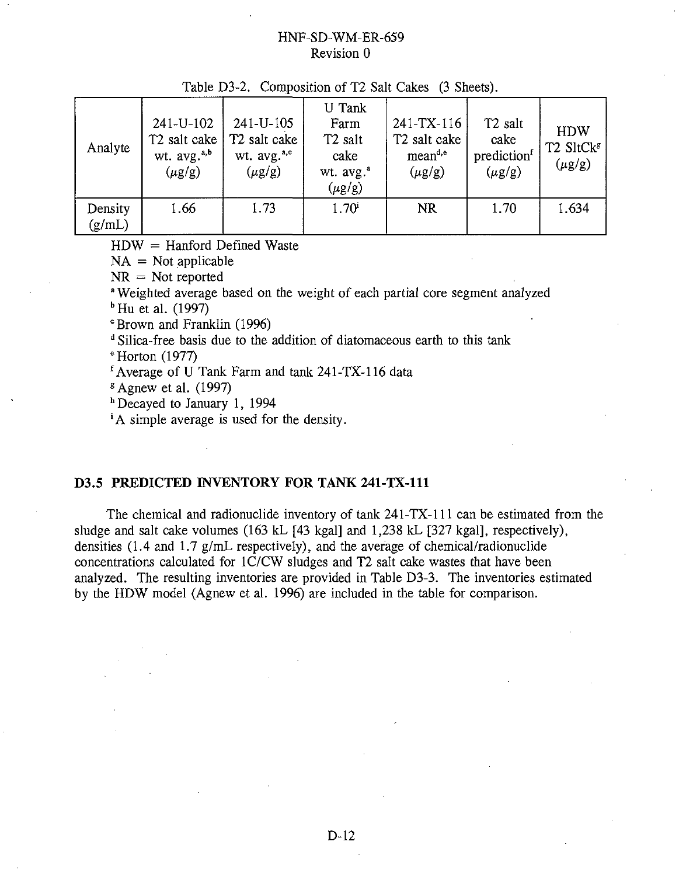| $1.0017$ and $-1$ . The state of $1.001$ and $0.001$ and $0.001$ and $0.001$ |                                                                          |                                                                          |                                                                                       |                                                                              |                                                          |                                                    |  |
|------------------------------------------------------------------------------|--------------------------------------------------------------------------|--------------------------------------------------------------------------|---------------------------------------------------------------------------------------|------------------------------------------------------------------------------|----------------------------------------------------------|----------------------------------------------------|--|
| Analyte                                                                      | 241-U-102<br>T <sub>2</sub> salt cake<br>wt. $avg.^{a,b}$<br>$(\mu g/g)$ | 241-U-105<br>T <sub>2</sub> salt cake<br>wt. $avg.^{a,c}$<br>$(\mu g/g)$ | U Tank<br>Farm<br>T <sub>2</sub> salt<br>cake<br>wt. avg. <sup>a</sup><br>$(\mu$ g/g) | 241-TX-116<br>T <sub>2</sub> salt cake<br>mean <sup>d,e</sup><br>$(\mu g/g)$ | T <sub>2</sub> salt<br>cake<br>prediction<br>$(\mu g/g)$ | <b>HDW</b><br>T2 SltCk <sup>g</sup><br>$(\mu g/g)$ |  |
| Density<br>(g/mL)                                                            | 1.66                                                                     | 1.73                                                                     | $1.70^{i}$                                                                            | <b>NR</b>                                                                    | 1.70                                                     | 1.634                                              |  |

Table D3-2. Composition of T2 Salt Cakes (3 Sheets).

 $HDW =$  Hanford Defined Waste

 $NA = Not applicable$ 

 $NR = Not$  reported

"Weighted average based on the weight of each partial core segment analyzed

 $^{\rm b}$  Hu et al. (1997)

"Brown and Franklin (1996)

d Silica-free basis due to the addition of diatomaceous earth to this tank

 $e$ Horton (1977)

f Average of U Tank Farm and tank 241-TX-116 data

 $8$  Agnew et al. (1997)

h Decayed to January 1, 1994

'A simple average is used for the density.

#### **D3.5 PREDICTED INVENTORY FOR TANK 241-TX-lll**

The chemical and radionuclide inventory of tank 241-TX-111 can be estimated from the sludge and salt cake volumes (163 kL [43 kgal] and 1,238 kL [327 kgal], respectively), densities (1.4 and 1.7 g/mL respectively), and the average of chemical/radionuclide concentrations calculated for 1C/CW sludges and T2 salt cake wastes that have been analyzed. The resulting inventories are provided in Table D3-3. The inventories estimated by the HDW model (Agnew et al. 1996) are included in the table for comparison.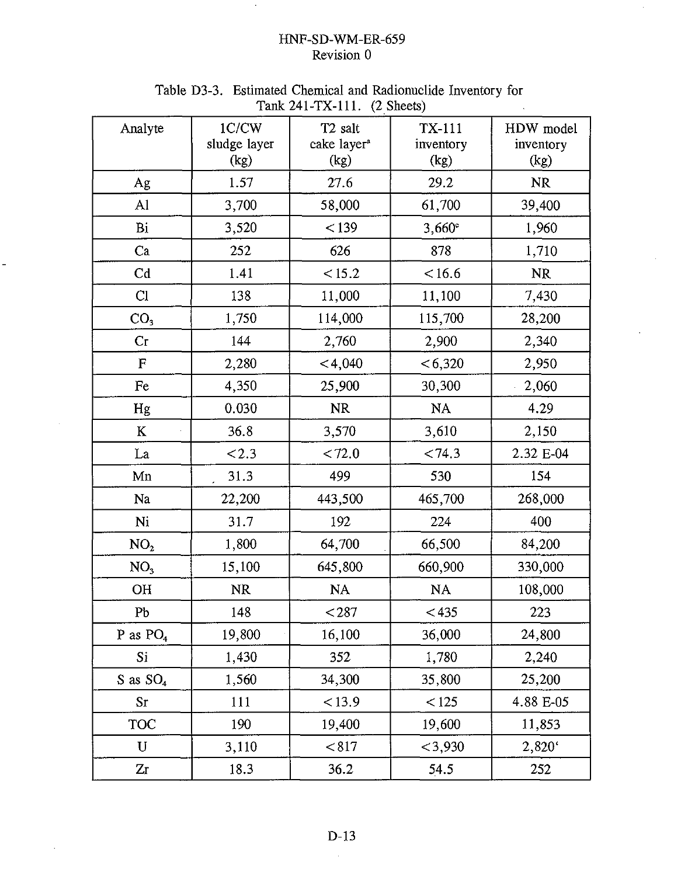÷.

| Analyte         | 1C/CW<br>sludge layer<br>(kg) | T <sub>2</sub> salt<br>cake layer <sup>a</sup><br>(kg) | TX-111<br>inventory<br>(kg) | HDW model<br>inventory<br>(kg) |
|-----------------|-------------------------------|--------------------------------------------------------|-----------------------------|--------------------------------|
| Ag              | 1.57                          | 27.6                                                   | 29.2                        | <b>NR</b>                      |
| AI              | 3,700                         | 58,000                                                 | 61,700                      | 39,400                         |
| Bi              | 3,520                         | < 139                                                  | 3,660°                      | 1,960                          |
| Ca              | 252                           | 626                                                    | 878                         | 1,710                          |
| Cd              | 1.41                          | < 15.2                                                 | < 16.6                      | <b>NR</b>                      |
| <b>Cl</b>       | 138                           | 11,000                                                 | 11,100                      | 7,430                          |
| CO <sub>3</sub> | 1,750                         | 114,000                                                | 115,700                     | 28,200                         |
| $C_{\Gamma}$    | 144                           | 2,760                                                  | 2,900                       | 2,340                          |
| $\mathbf F$     | 2,280                         | < 4,040                                                | < 6,320                     | 2,950                          |
| Fe              | 4,350                         | 25,900                                                 | 30,300                      | 2,060                          |
| Hg              | 0.030                         | <b>NR</b>                                              | NA                          | 4.29                           |
| $\mathbf K$     | 36.8                          | 3,570                                                  | 3,610                       | 2,150                          |
| La              | < 2.3                         | < 72.0                                                 | < 74.3                      | 2.32 E-04                      |
| Mn              | 31.3                          | 499                                                    | 530                         | 154                            |
| Na              | 22,200                        | 443,500                                                | 465,700                     | 268,000                        |
| Ni              | 31.7                          | 192                                                    | 224                         | 400                            |
| NO <sub>2</sub> | 1,800                         | 64,700                                                 | 66,500                      | 84,200                         |
| NO <sub>3</sub> | 15,100                        | 645,800                                                | 660,900                     | 330,000                        |
| OH              | <b>NR</b>                     | <b>NA</b>                                              | <b>NA</b>                   | 108,000                        |
| Pb              | 148                           | < 287                                                  | < 435                       | 223                            |
| P as $PO4$      | 19,800                        | 16,100                                                 | 36,000                      | 24,800                         |
| Si              | 1,430                         | 352                                                    | 1,780                       | 2,240                          |
| $S$ as $SO_4$   | 1,560                         | 34,300                                                 | 35,800                      | 25,200                         |
| Sr              | 111                           | < 13.9                                                 | < 125                       | 4.88 E-05                      |
| <b>TOC</b>      | 190                           | 19,400                                                 | 19,600                      | 11,853                         |
| U               | 3,110                         | < 817                                                  | $<$ 3,930                   | 2,820'                         |
| Zr              | 18.3                          | 36.2                                                   | 54.5                        | 252                            |

Table D3-3. Estimated Chemical and Tank241-TX-lll. Radionuclide Inventory (2 Sheets) for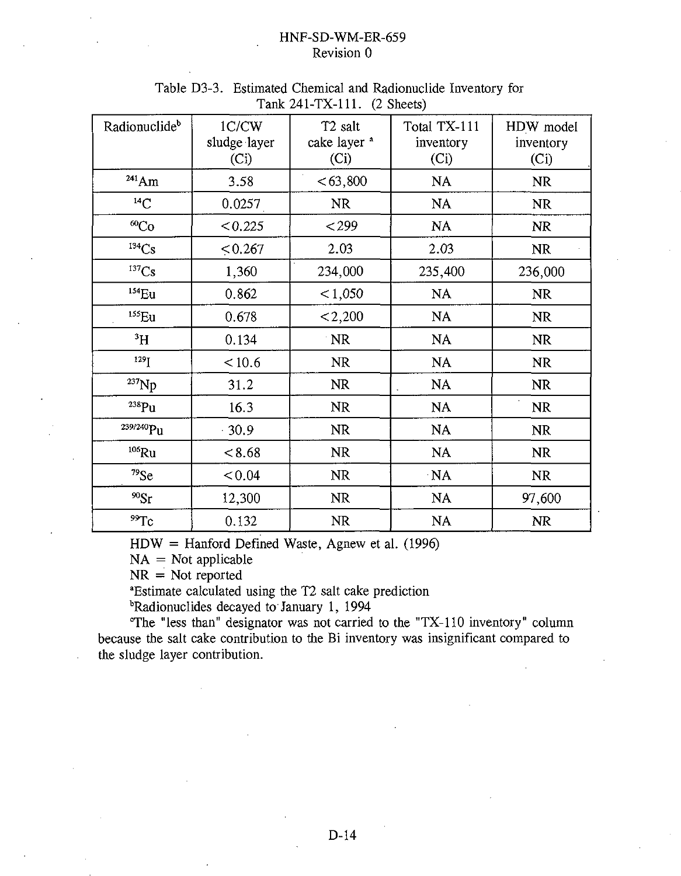| 1C/CW<br>sludge layer<br>(Ci) | T <sub>2</sub> salt<br>cake layer <sup>a</sup><br>(Ci) | Total TX-111<br>inventory<br>(Ci) | HDW model<br>inventory<br>(Ci) |
|-------------------------------|--------------------------------------------------------|-----------------------------------|--------------------------------|
| 3.58                          | < 63,800                                               | NA                                | NR                             |
| 0.0257                        | NR                                                     | NA                                | <b>NR</b>                      |
| < 0.225                       | < 299                                                  | NA                                | NR                             |
| ${}_{0.267}$                  | 2.03                                                   | 2.03                              | NR                             |
| 1,360                         | 234,000                                                | 235,400                           | 236,000                        |
| 0.862                         | < 1,050                                                | NA                                | NR.                            |
| 0.678                         | < 2,200                                                | NA                                | NR                             |
| 0.134                         | $N_{\rm R}$                                            | NA                                | NR                             |
| < 10.6                        | <b>NR</b>                                              | NA                                | NR                             |
| 31.2                          | NR.                                                    | NA                                | NR                             |
| 16.3                          | NR                                                     | NA                                | NR                             |
| $-30.9$                       | NR                                                     | NA                                | NR                             |
| < 8.68                        | NR                                                     | NA                                | NR                             |
| < 0.04                        | NR                                                     | NA.                               | NR                             |
| 12,300                        | NR                                                     | NA.                               | 97,600                         |
| 0.132                         | <b>NR</b>                                              | NA.                               | NR                             |
|                               |                                                        |                                   |                                |

# Table D3-3. Estimated Chemical and Radionuclide Inventory for Tank 241-TX-lll. (2 Sheets)

HDW = Hanford Defined Waste, Agnew et al. (1996)

 $NA = Not applicable$ 

 $NR = Not reported$ 

"Estimate calculated using the T2 salt cake prediction

<sup>b</sup>Radionuclides decayed to January 1, 1994

The "less than" designator was not carried to the "TX-110 inventory" column because the salt cake contribution to the Bi inventory was insignificant compared to the sludge layer contribution.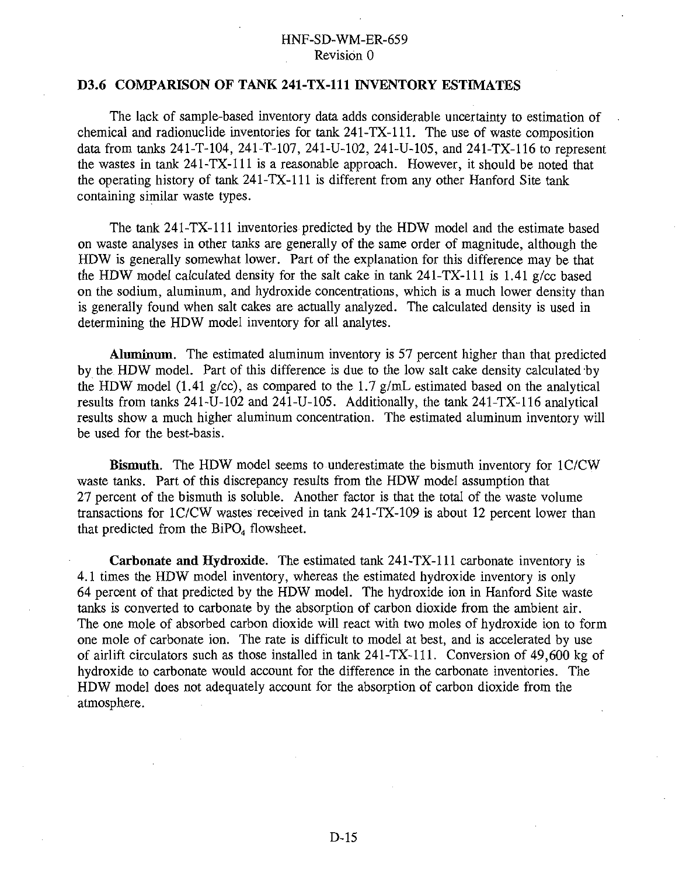#### **D3.6 COMPARISON OF TANK 241-TX-lll INVENTORY ESTIMATES**

The lack of sample-based inventory data adds considerable uncertainty to estimation of chemical and radionuclide inventories for tank  $241-TX-111$ . The use of waste composition data from tanks 241-T-104, 241-T-107, 241-U-102, 241-U-105, and 241-TX-116 to represent the wastes in tank 241-TX-lll is a reasonable approach. However, it should be noted that the operating history of tank 241-TX-lll is different from any other Hanford Site tank containing similar waste types.

The tank 241-TX-lll inventories predicted by the HDW model and the estimate based on waste analyses in other tanks are generally of the same order of magnitude, although the HDW is generally somewhat lower. Part of the explanation for this difference may be that the HDW model calculated density for the salt cake in tank 241-TX-111 is 1.41  $g$ /cc based on the sodium, aluminum, and hydroxide concentrations, which is a much lower density than is generally found when salt cakes are actually analyzed. The calculated density is used in determining the HDW model inventory for all analytes.

**Aluminum.** The estimated aluminum inventory is 57 percent higher than that predicted by the HDW model. Part of this difference is due to the low salt cake density calculated by the HDW model (1.41 g/cc), as compared to the 1.7 g/mL estimated based on the analytical results from tanks 241-U-102 and 241-U-105. Additionally, the tank 241-TX-116 analytical results show a much higher aluminum concentration. The estimated aluminum inventory will be used for the best-basis.

**Bismuth.** The HDW model seems to underestimate the bismuth inventory for 1C/CW waste tanks. Part of this discrepancy results from the HDW model assumption that 27 percent of the bismuth is soluble. Another factor is that the total of the waste volume transactions for 1C/CW wastes received in tank 241-TX-109 is about 12 percent lower than that predicted from the  $BiPO<sub>4</sub>$  flowsheet.

**Carbonate and Hydroxide.** The estimated tank 241-TX-lll carbonate inventory is 4.1 times the HDW model inventory, whereas the estimated hydroxide inventory is only 64 percent of that predicted by the HDW model. The hydroxide ion in Hanford Site waste tanks is converted to carbonate by the absorption of carbon dioxide from the ambient air. The one mole of absorbed carbon dioxide will react with two moles of hydroxide ion to form one mole of carbonate ion. The rate is difficult to model at best, and is accelerated by use of airlift circulators such as those installed in tank 241-TX-lll. Conversion of 49,600 kg of hydroxide to carbonate would account for the difference in the carbonate inventories. The HDW model does not adequately account for the absorption of carbon dioxide from the atmosphere.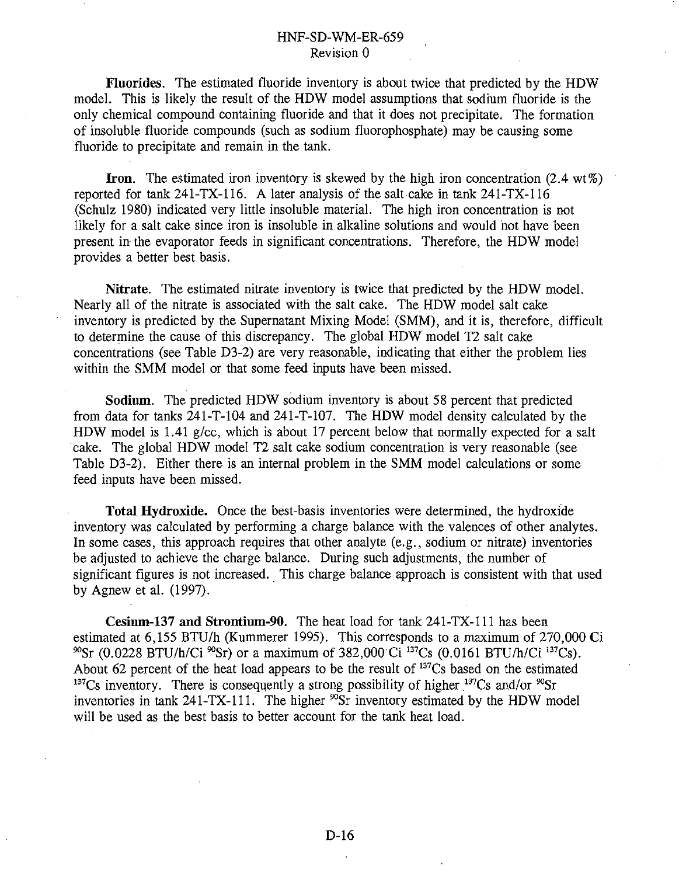**Fluorides.** The estimated fluoride inventory is about twice that predicted by the HDW model. This is likely the result of the HDW model assumptions that sodium fluoride is the only chemical compound containing fluoride and that it does not precipitate. The formation of insoluble fluoride compounds (such as sodium fluorophosphate) may be causing some fluoride to precipitate and remain in the tank.

**Iron.** The estimated iron inventory is skewed by the high iron concentration (2.4 wt%) reported for tank 241-TX-116. A later analysis of the salt cake in tank 241-TX-116 (Schulz 1980) indicated very little insoluble material. The high iron concentration is not likely for a salt cake since iron is insoluble in alkaline solutions and would not have been present in the evaporator feeds in significant concentrations. Therefore, the HDW model provides a better best basis.

**Nitrate.** The estimated nitrate inventory is twice that predicted by the HDW model. Nearly all of the nitrate is associated with the salt cake. The HDW model salt cake inventory is predicted by the Supernatant Mixing Model (SMM), and it is, therefore, difficult to determine the cause of this discrepancy. The global HDW model T2 salt cake concentrations (see Table D3-2) are very reasonable, indicating that either the problem lies within the SMM model or that some feed inputs have been missed.

**Sodium.** The predicted HDW sodium inventory is about 58 percent that predicted from data for tanks 241-T-104 and 241-T-107. The HDW model density calculated by the HDW model is 1.41 *glee,* which is about 17 percent below that normally expected for a salt cake. The global HDW model T2 salt cake sodium concentration is very reasonable (see Table D3-2). Either there is an internal problem in the SMM model calculations or some feed inputs have been missed.

**Total Hydroxide.** Once the best-basis inventories were determined, the hydroxide inventory was calculated by performing a charge balance with the valences of other analytes. In some cases, this approach requires that other analyte (e.g., sodium or nitrate) inventories be adjusted to achieve the charge balance. During such adjustments, the number of significant figures is not increased. This charge balance approach is consistent with that used by Agnew et al. (1997).

**Cesium-137 and Strontium-90.** The heat load for tank 241-TX-111 has been estimated at 6,155 BTU/h (Kummerer 1995). This corresponds to a maximum of 270,000 Ci  $^{90}$ Sr (0.0228 BTU/h/Ci<sup>90</sup>Sr) or a maximum of 382,000 Ci<sup>137</sup>Cs (0.0161 BTU/h/Ci<sup>137</sup>Cs) About 62 percent of the heat load appears to be the result of <sup>137</sup>Cs based on the estimated  $137Cs$  inventory. There is consequently a strong possibility of higher  $137Cs$  and/or  ${}^{90}Si$ inventories in tank  $241-TX-111$ . The higher  ${}^{90}Sr$  inventory estimated by the HDW model will be used as the best basis to better account for the tank heat load.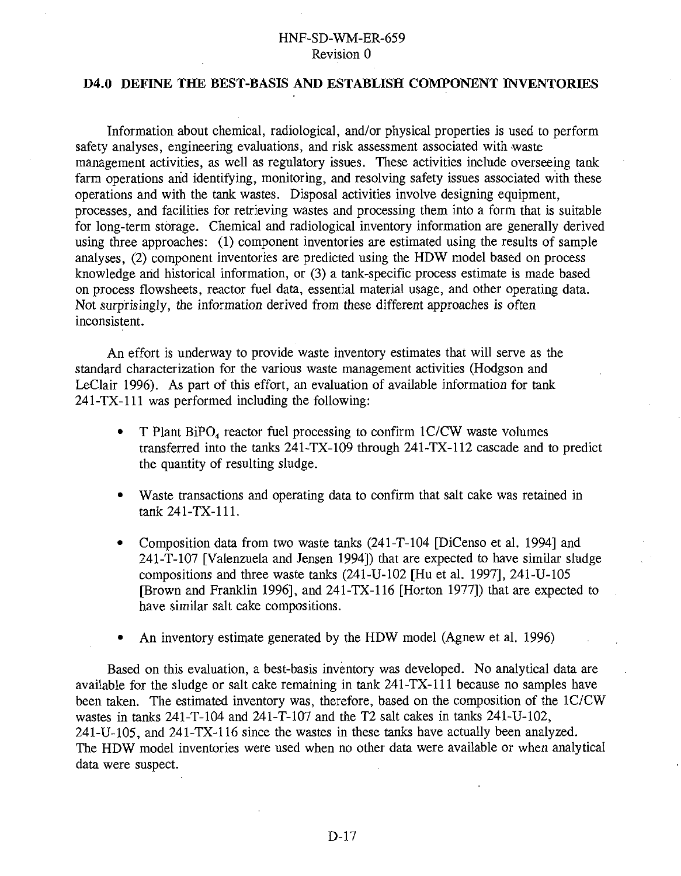#### **D4.0 DEFINE THE BEST-BASIS AND ESTABLISH COMPONENT INVENTORIES**

Information about chemical, radiological, and/or physical properties is used to perform safety analyses, engineering evaluations, and risk assessment associated with waste management activities, as well as regulatory issues. These activities include overseeing tank farm operations and identifying, monitoring, and resolving safety issues associated with these operations and with the tank wastes. Disposal activities involve designing equipment, processes, and facilities for retrieving wastes and processing them into a form that is suitable for long-term storage. Chemical and radiological inventory information are generally derived using three approaches: (1) component inventories are estimated using the results of sample analyses, (2) component inventories are predicted using the HDW model based on process knowledge and historical information, or (3) a tank-specific process estimate is made based on process flowsheets, reactor fuel data, essential material usage, and other operating data. Not surprisingly, the information derived from these different approaches is often inconsistent.

An effort is underway to provide waste inventory estimates that will serve as the standard characterization for the various waste management activities (Hodgson and LeClair 1996). As part of this effort, an evaluation of available information for tank 241-TX-lll was performed including the following:

- T Plant BiPO<sub>4</sub> reactor fuel processing to confirm 1C/CW waste volumes transferred into the tanks 241-TX-109 through 241-TX-112 cascade and to predict the quantity of resulting sludge.
- Waste transactions and operating data to confirm that salt cake was retained in tank 241-TX-lll.
- Composition data from two waste tanks (241-T-104 [DiCenso et al. 1994] and 241-T-107 [Valenzuela and Jensen 1994]) that are expected to have similar sludge compositions and three waste tanks (241-U-102 [Hu et al. 1997], 241-U-105 [Brown and Franklin 1996], and 241-TX-116 [Horton 1977]) that are expected to have similar salt cake compositions.
- An inventory estimate generated by the HDW model (Agnew et al. 1996)

Based on this evaluation, a best-basis inventory was developed. No analytical data are available for the sludge or salt cake remaining in tank 241-TX-lll because no samples have been taken. The estimated inventory was, therefore, based on the composition of the 1C/CW wastes in tanks 241-T-104 and 241-T-107 and the T2 salt cakes in tanks 241-U-102, 241-U-105, and 241-TX-116 since the wastes in these tanks have actually been analyzed. The HDW model inventories were used when no other data were available or when analytical data were suspect.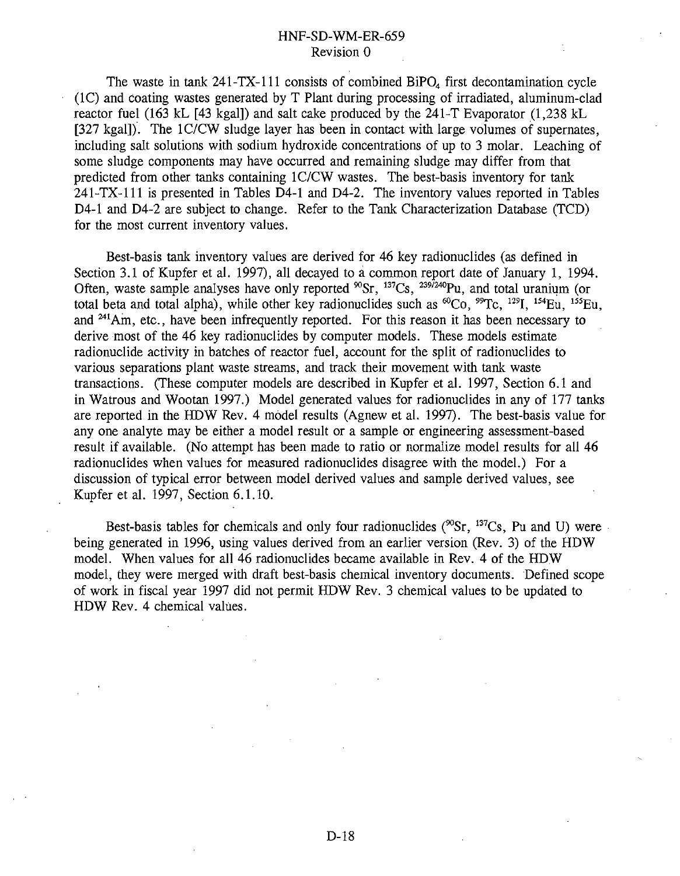The waste in tank  $241-TX-111$  consists of combined BiPO, first decontamination cycle (1C) and coating wastes generated by T Plant during processing of irradiated, aluminum-clad reactor fuel (163 kL [43 kgal]) and salt cake produced by the 241-T Evaporator (1,238 kL [327 kgal]). The 1C/CW sludge layer has been in contact with large volumes of supernates, including salt solutions with sodium hydroxide concentrations of up to 3 molar. Leaching of some sludge components may have occurred and remaining sludge may differ from that predicted from other tanks containing 1C/CW wastes. The best-basis inventory for tank 241-TX-lll is presented in Tables D4-1 and D4-2. The inventory values reported in Tables D4-1 and D4-2 are subject to change. Refer to the Tank Characterization Database (TCD) for the most current inventory values.

Best-basis tank inventory values are derived for 46 key radionuclides (as defined in Section 3.1 of Kupfer et al. 1997), all decayed to a common report date of January 1, 1994. Often, waste sample analyses have only reported  $\%S_r$ ,  $^{137}Cs$ ,  $^{239/240}Pu$ , and total uranium (or total beta and total alpha), while other key radionuclides such as  ${}^{60}Co$ ,  ${}^{99}Te$ ,  ${}^{129}I$ ,  ${}^{154}Eu$ ,  ${}^{155}Eu$ and <sup>241</sup>Am, etc., have been infrequently reported. For this reason it has been necessary to derive most of the 46 key radionuclides by computer models. These models estimate radionuclide activity in batches of reactor fuel, account for the split of radionuclides to various separations plant waste streams, and track their movement with tank waste transactions. (These computer models are described in Kupfer et al. 1997, Section 6.1 and in Watrous and Wootan 1997.) Model generated values for radionuclides in any of 177 tanks are reported in the HDW Rev. 4 model results (Agnew et al. 1997). The best-basis value for any one analyte may be either a model result or a sample or engineering assessment-based result if available. (No attempt has been made to ratio or normalize model results for all 46 radionuclides when values for measured radionuclides disagree with the model.) For a discussion of typical error between model derived values and sample derived values, see Kupfer et al. 1997, Section 6.1.10.

Best-basis tables for chemicals and only four radionuclides  $(^{90}Sr, ^{137}Cs,$  Pu and U) were being generated in 1996, using values derived from an earlier version (Rev. 3) of the HDW model. When values for all 46 radionuclides became available in Rev. 4 of the HDW model, they were merged with draft best-basis chemical inventory documents. Defined scope of work in fiscal year 1997 did not permit HDW Rev. 3 chemical values to be updated to HDW Rev. 4 chemical values.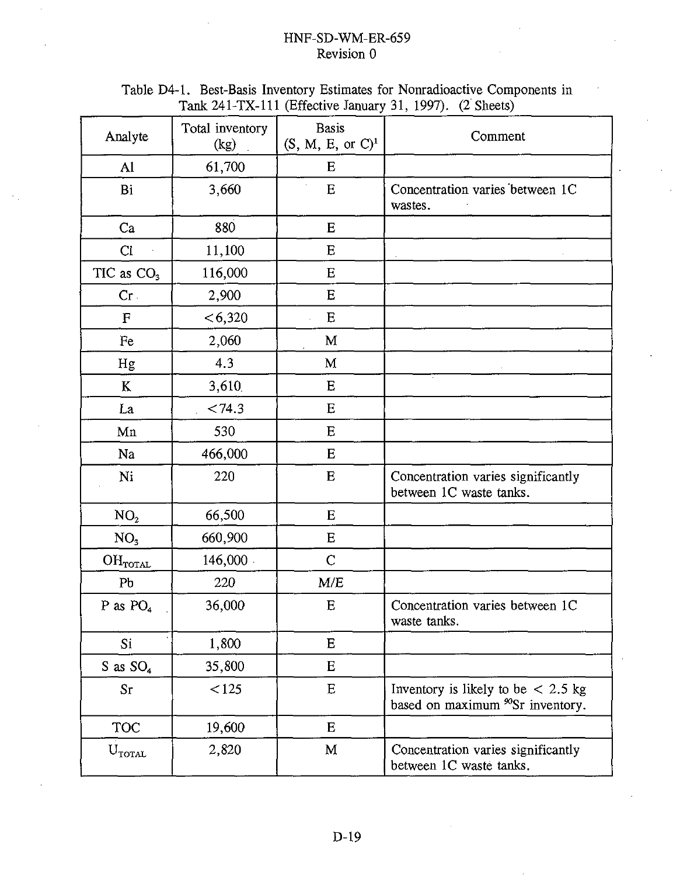| Analyte                                   | Total inventory<br>(kg) | <b>Basis</b><br>$(S, M, E, or C)^1$ | Comment                                                                                |
|-------------------------------------------|-------------------------|-------------------------------------|----------------------------------------------------------------------------------------|
| Al                                        | 61,700                  | E                                   |                                                                                        |
| Bi                                        | 3,660                   | E                                   | Concentration varies between 1C<br>wastes.                                             |
| Ca                                        | 880                     | E                                   |                                                                                        |
| C1                                        | 11,100                  | E                                   |                                                                                        |
| TIC as $CO3$                              | 116,000                 | E                                   |                                                                                        |
| $Cr$ .                                    | 2,900                   | E                                   |                                                                                        |
| F                                         | < 6,320                 | E                                   |                                                                                        |
| Fe                                        | 2,060                   | M                                   |                                                                                        |
| Hg                                        | 4.3                     | M                                   |                                                                                        |
| K                                         | 3,610                   | E                                   |                                                                                        |
| La                                        | < 74.3                  | E                                   |                                                                                        |
| Mn                                        | 530                     | E                                   |                                                                                        |
| Na                                        | 466,000                 | E                                   |                                                                                        |
| Ni                                        | 220                     | E                                   | Concentration varies significantly<br>between 1C waste tanks.                          |
| NO <sub>2</sub>                           | 66,500                  | E                                   |                                                                                        |
| NO <sub>3</sub>                           | 660,900                 | E                                   |                                                                                        |
| $\mathrm{OH_{\scriptscriptstyle{TOTAL}}}$ | 146,000                 | $\overline{C}$                      |                                                                                        |
| Pb                                        | 220                     | M/E                                 |                                                                                        |
| P as $PO4$                                | 36,000                  | E                                   | Concentration varies between 1C<br>waste tanks.                                        |
| Si                                        | 1,800                   | E                                   |                                                                                        |
| $S$ as $SO4$                              | 35,800                  | E                                   |                                                                                        |
| Sr                                        | < 125                   | E                                   | Inventory is likely to be $\lt$ 2.5 kg<br>based on maximum <sup>90</sup> Sr inventory. |
| <b>TOC</b>                                | 19,600                  | E                                   |                                                                                        |
| $\mathbf{U}_{\texttt{total}}$             | 2,820                   | M                                   | Concentration varies significantly<br>between 1C waste tanks.                          |

Table D4-1 . Best-Basis Inventory Estimates for Nonradioactive Components in Tank 241-TX-l 11 (Effective January 31 , 1997). (2 Sheets)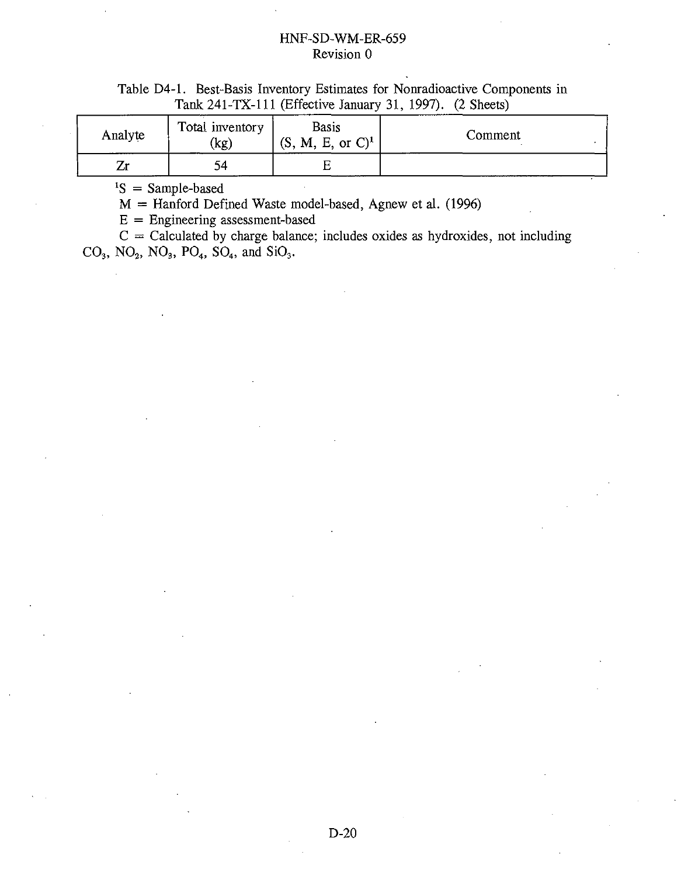Table D4-1. Best-Basis Inventory Estimates for Nonradioactive Components in Tank 241-TX-lll (Effective January 31, 1997). (2 Sheets)

| Analyte | Total inventory<br>(kg) | Basis<br>$(S, M, E, or C)^1$ | Comment |
|---------|-------------------------|------------------------------|---------|
| 7.<br>▱ | 54                      |                              |         |

'S = Sample-based

 $M =$  Hanford Defined Waste model-based, Agnew et al. (1996)

 $E =$  Engineering assessment-based

 $C =$  Calculated by charge balance; includes oxides as hydroxides, not including  $CO_3$ , NO<sub>2</sub>, NO<sub>3</sub>, PO<sub>4</sub>, SO<sub>4</sub>, and SiO<sub>3</sub>.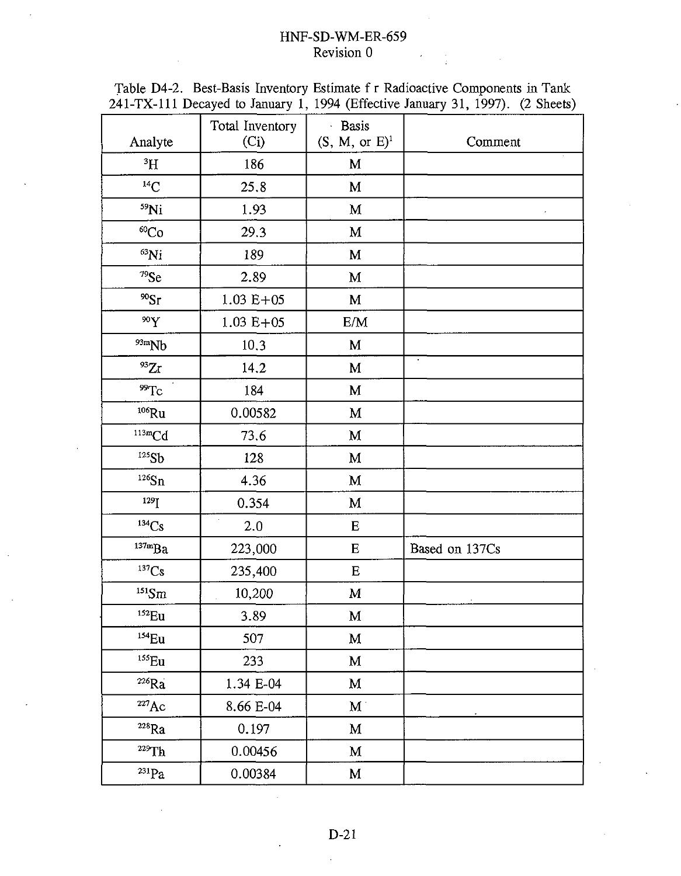÷. l,

| Table D4-2. Best-Basis Inventory Estimate f r Radioactive Components in Tank   |  |  |  |  |  |
|--------------------------------------------------------------------------------|--|--|--|--|--|
| 241-TX-111 Decayed to January 1, 1994 (Effective January 31, 1997). (2 Sheets) |  |  |  |  |  |

|                     | Total Inventory   | · Basis          |                |
|---------------------|-------------------|------------------|----------------|
| Analyte             | (Ci)              | $(S, M, or E)^1$ | Comment        |
| $\rm{^{3}H}$        | 186               | M                |                |
| $^{14}C$            | 25.8              | M                |                |
| $^{59}\rm Ni$       | 1.93              | M                |                |
| $60^{\circ}$ Co     | 29.3              | ${\bf M}$        |                |
| $^{63}\rm{Ni}$      | 189               | M                |                |
| $79$ Se             | 2.89              | M                |                |
| $^{90}$ Sr          | $1.03 E + 05$     | M                |                |
| 90Y                 | $1.03 E + 05$     | E/M              |                |
| $^{93m}\mathrm{Nb}$ | 10.3              | M                |                |
| $^{93}\mathrm{Zr}$  | 14.2              | M                |                |
| $^{99}$ Tc          | 184               | M                |                |
| $^{106}\mathrm{Ru}$ | 0.00582           | M                |                |
| 113mCd              | 73.6              | M                |                |
| 125Sb               | 128               | M                |                |
| $^{126}Sn$          | 4.36              | M                |                |
| $129$ <sup>T</sup>  | 0.354             | M                |                |
| 134Cs               | $\epsilon$<br>2.0 | ${\bf E}$        |                |
| 137mBa              | 223,000           | E                | Based on 137Cs |
| 137Cs               | 235,400           | E                |                |
| $^{151}{\rm Sm}$    | 10,200            | M                |                |
| $^{152}\mathrm{Eu}$ | 3.89              | M                |                |
| $^{154}\mathrm{Eu}$ | 507               | M                |                |
| $^{155}\mathrm{Eu}$ | 233               | M                |                |
| $^{226}\mathrm{Ra}$ | 1.34 E-04         | M                |                |
| $227$ Ac            | 8.66 E-04         | M                |                |
| $\mathrm{^{228}Ra}$ | 0.197             | M                |                |
| $^{229}\mathrm{Th}$ | 0.00456           | M                |                |
| $^{231}Pa$          | 0.00384           | M                |                |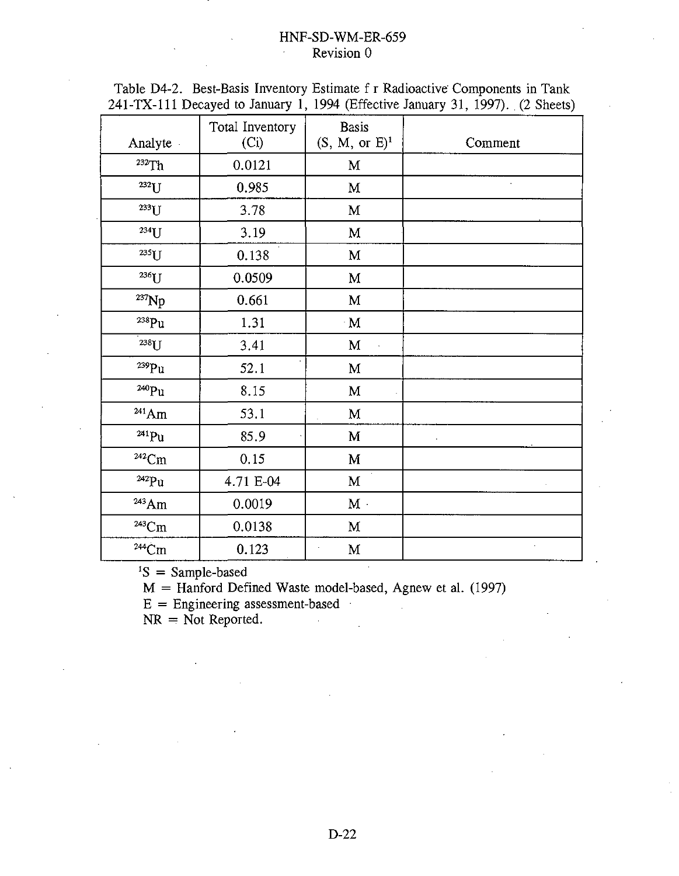|                     |                         |                                           | $2+1+1+1+1$ Decayed to sumally 1, 1994 (Directive sumally 91, 1997). (2 Sheets) |
|---------------------|-------------------------|-------------------------------------------|---------------------------------------------------------------------------------|
| Analyte             | Total Inventory<br>(Ci) | <b>Basis</b><br>(S, M, or E) <sup>1</sup> | Comment                                                                         |
| $^{232}\mathrm{Th}$ | 0.0121                  | M                                         |                                                                                 |
| 232 <sub>LJ</sub>   | 0.985                   | M                                         | $\mathcal{L}^{\mathcal{L}}$                                                     |
| 233 <sub>LJ</sub>   | 3.78                    | $\mathbf M$                               |                                                                                 |
| $234$ []            | 3.19                    | M                                         |                                                                                 |
| 235U                | 0.138                   | M                                         |                                                                                 |
| $236$ U             | 0.0509                  | M                                         |                                                                                 |
| $^{237}\mathrm{Np}$ | 0.661                   | M                                         |                                                                                 |
| $^{238}Pu$          | 1.31                    | $\cdot$ M                                 |                                                                                 |
| $^{238}\mathrm{U}$  | 3.41                    | M<br>¥                                    |                                                                                 |
| $^{239}\mathrm{Pu}$ | 52.1                    | M                                         |                                                                                 |
| $\rm ^{240}Pu$      | 8.15                    | M                                         |                                                                                 |
| $^{241}Am$          | 53.1                    | M                                         |                                                                                 |
| $\rm ^{241}Pu$      | 85.9                    | M                                         |                                                                                 |
| $\rm ^{242}Cm$      | 0.15                    | M                                         |                                                                                 |
| $^{242}\mathrm{Pu}$ | 4.71 E-04               | M                                         |                                                                                 |
| $^{243}\mathrm{Am}$ | 0.0019                  | $M$ .                                     |                                                                                 |
| $\rm ^{243}Cm$      | 0.0138                  | M                                         |                                                                                 |
| $^{244}\mathrm{Cm}$ | 0.123                   | M                                         | $\epsilon$                                                                      |

Table D4-2. Best-Basis Inventory Estimate f r Radioactive Components in Tank 241-TX-lll Decayed to January 1 1994 (Effective January 31, 1997).. (2 Sheets)

"S = Sample-based

M = Hanford Defined Waste model-based, Agnew et al. (1997)

E = Engineering assessment-based

 $NR = Not Reported.$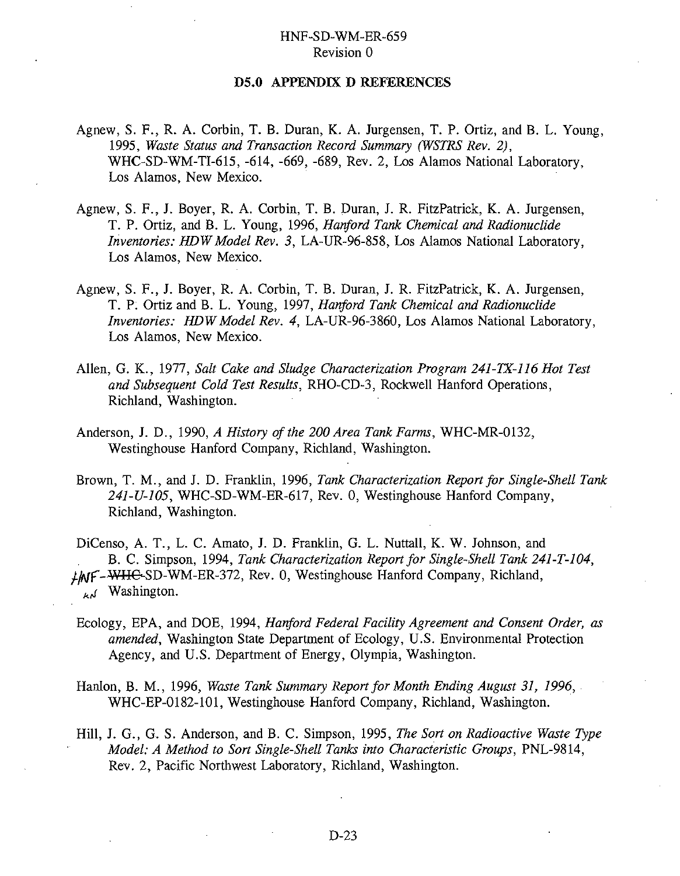#### **D5.0 APPENDIX D REFERENCES**

- Agnew, S. F., R. A. Corbin, T. B. Duran, K. A. Jurgensen, T. P. Ortiz, and B. L. Young, 1995, *Waste Status and Transaction Record Summary (WSTRS Rev. 2),* WHC-SD-WM-TI-615, -614, -669, -689, Rev. 2, Los Alamos National Laboratory, Los Alamos, New Mexico.
- Agnew, S. F., J. Boyer, R. A. Corbin, T. B. Duran, J. R. FitzPatrick, K. A. Jurgensen, T. P. Ortiz, and B. L. Young, 1996, *Hanford Tank Chemical and Radionuclide Inventories: HDWModel Rev. 3,* LA-UR-96-858, Los Alamos National Laboratory, Los Alamos, New Mexico.
- Agnew, S. F., J. Boyer, R. A. Corbin, T. B. Duran, J. R. FitzPatrick, K. A. Jurgensen, T. P. Ortiz and B. L. Young, 1997, *Hanford Tank Chemical and Radionuclide Inventories: HDW Model Rev. 4,* LA-UR-96-3860, Los Alamos National Laboratory, Los Alamos, New Mexico.
- Allen, G. K., 1977, *Salt Cake and Sludge Characterization Program 241-TX-116 Hot Test and Subsequent Cold Test Results,* RHO-CD-3, Rockwell Hanford Operations, Richland, Washington.
- Anderson, J. D., 1990, *A History of the 200 Area Tank Farms,* WHC-MR-0132, Westinghouse Hanford Company, Richland, Washington.
- Brown, T. M., and J. D. Franklin, 1996, *Tank Characterization Report for Single-Shell Tank 241-U-105,* WHC-SD-WM-ER-617, Rev. 0, Westinghouse Hanford Company, Richland, Washington.

DiCenso, A. T., L. C. Amato, J. D. Franklin, G. L. Nuttall, K. W. Johnson, and B. C. Simpson, 1994, *Tank Characterization Report for Single-Shell Tank 241-T-104,* LINF-WHE-SD-WM-ER-372, Rev. 0, Westinghouse Hanford Company, Richland, *kri* Washington.

- Ecology, EPA, and DOE, 1994, *Hanford Federal Facility Agreement and Consent Order, as amended,* Washington State Department of Ecology, U.S. Environmental Protection Agency, and U.S. Department of Energy, Olympia, Washington.
- Hanlon, B. M., 1996, *Waste Tank Summary Report for Month Ending August 31, 1996, •* WHC-EP-0182-101, Westinghouse Hanford Company, Richland, Washington.
- Hill, J. G., G. S. Anderson, and B. C. Simpson, 1995, *The Sort on Radioactive Waste Type Model: A Method to Sort Single-Shell Tanks into Characteristic Groups,* PNL-9814, Rev. 2, Pacific Northwest Laboratory, Richland, Washington.